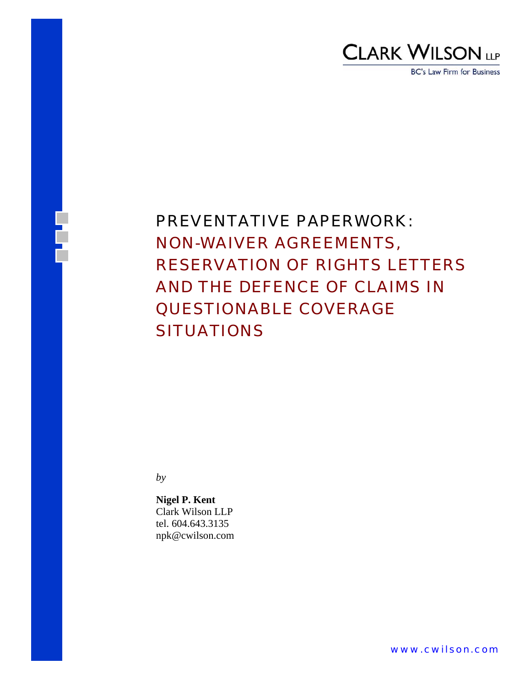# CLARK WILSON LLP

**BC's Law Firm for Business** 

## PREVENTATIVE PAPERWORK: NON-WAIVER AGREEMENTS, RESERVATION OF RIGHTS LETTERS AND THE DEFENCE OF CLAIMS IN QUESTIONABLE COVERAGE **SITUATIONS**

*by* 

**Nigel P. Kent** Clark Wilson LLP tel. 604.643.3135 npk@cwilson.com

www.cwilson.com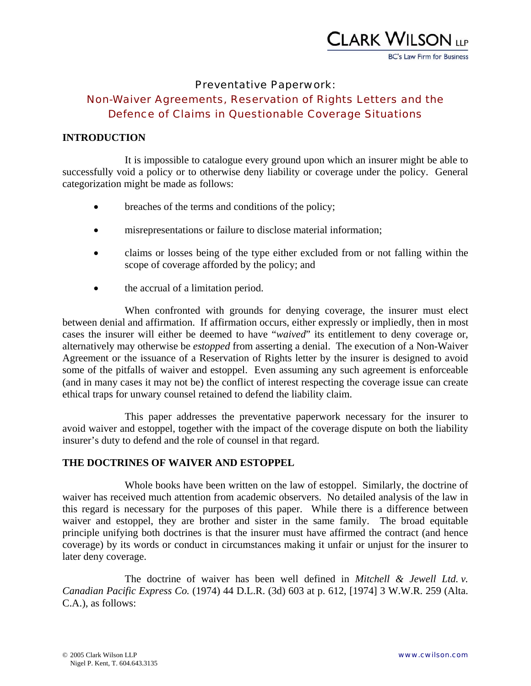

#### Preventative Paperwork:

## Non-Waiver Agreements, Reservation of Rights Letters and the Defence of Claims in Questionable Coverage Situations

#### **INTRODUCTION**

It is impossible to catalogue every ground upon which an insurer might be able to successfully void a policy or to otherwise deny liability or coverage under the policy. General categorization might be made as follows:

- breaches of the terms and conditions of the policy;
- misrepresentations or failure to disclose material information;
- claims or losses being of the type either excluded from or not falling within the scope of coverage afforded by the policy; and
- the accrual of a limitation period.

When confronted with grounds for denying coverage, the insurer must elect between denial and affirmation. If affirmation occurs, either expressly or impliedly, then in most cases the insurer will either be deemed to have "*waived*" its entitlement to deny coverage or, alternatively may otherwise be *estopped* from asserting a denial. The execution of a Non-Waiver Agreement or the issuance of a Reservation of Rights letter by the insurer is designed to avoid some of the pitfalls of waiver and estoppel. Even assuming any such agreement is enforceable (and in many cases it may not be) the conflict of interest respecting the coverage issue can create ethical traps for unwary counsel retained to defend the liability claim.

This paper addresses the preventative paperwork necessary for the insurer to avoid waiver and estoppel, together with the impact of the coverage dispute on both the liability insurer's duty to defend and the role of counsel in that regard.

#### **THE DOCTRINES OF WAIVER AND ESTOPPEL**

Whole books have been written on the law of estoppel. Similarly, the doctrine of waiver has received much attention from academic observers. No detailed analysis of the law in this regard is necessary for the purposes of this paper. While there is a difference between waiver and estoppel, they are brother and sister in the same family. The broad equitable principle unifying both doctrines is that the insurer must have affirmed the contract (and hence coverage) by its words or conduct in circumstances making it unfair or unjust for the insurer to later deny coverage.

The doctrine of waiver has been well defined in *Mitchell & Jewell Ltd. v. Canadian Pacific Express Co.* (1974) 44 D.L.R. (3d) 603 at p. 612, [1974] 3 W.W.R. 259 (Alta. C.A.), as follows: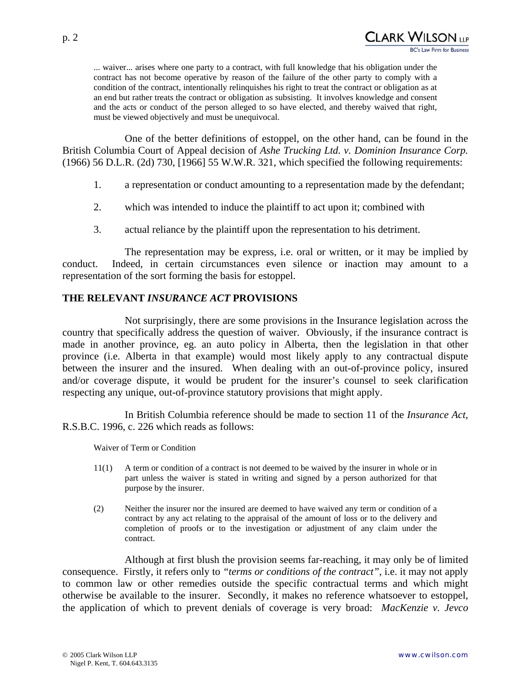... waiver... arises where one party to a contract, with full knowledge that his obligation under the contract has not become operative by reason of the failure of the other party to comply with a condition of the contract, intentionally relinquishes his right to treat the contract or obligation as at an end but rather treats the contract or obligation as subsisting. It involves knowledge and consent and the acts or conduct of the person alleged to so have elected, and thereby waived that right, must be viewed objectively and must be unequivocal.

One of the better definitions of estoppel, on the other hand, can be found in the British Columbia Court of Appeal decision of *Ashe Trucking Ltd. v. Dominion Insurance Corp.* (1966) 56 D.L.R. (2d) 730, [1966] 55 W.W.R. 321, which specified the following requirements:

- 1. a representation or conduct amounting to a representation made by the defendant;
- 2. which was intended to induce the plaintiff to act upon it; combined with
- 3. actual reliance by the plaintiff upon the representation to his detriment.

The representation may be express, i.e. oral or written, or it may be implied by conduct. Indeed, in certain circumstances even silence or inaction may amount to a representation of the sort forming the basis for estoppel.

#### **THE RELEVANT** *INSURANCE ACT* **PROVISIONS**

Not surprisingly, there are some provisions in the Insurance legislation across the country that specifically address the question of waiver. Obviously, if the insurance contract is made in another province, eg. an auto policy in Alberta, then the legislation in that other province (i.e. Alberta in that example) would most likely apply to any contractual dispute between the insurer and the insured. When dealing with an out-of-province policy, insured and/or coverage dispute, it would be prudent for the insurer's counsel to seek clarification respecting any unique, out-of-province statutory provisions that might apply.

In British Columbia reference should be made to section 11 of the *Insurance Act*, R.S.B.C. 1996, c. 226 which reads as follows:

Waiver of Term or Condition

- 11(1) A term or condition of a contract is not deemed to be waived by the insurer in whole or in part unless the waiver is stated in writing and signed by a person authorized for that purpose by the insurer.
- (2) Neither the insurer nor the insured are deemed to have waived any term or condition of a contract by any act relating to the appraisal of the amount of loss or to the delivery and completion of proofs or to the investigation or adjustment of any claim under the contract.

Although at first blush the provision seems far-reaching, it may only be of limited consequence. Firstly, it refers only to *"terms or conditions of the contract"*, i.e. it may not apply to common law or other remedies outside the specific contractual terms and which might otherwise be available to the insurer. Secondly, it makes no reference whatsoever to estoppel, the application of which to prevent denials of coverage is very broad: *MacKenzie v. Jevco*

CLARK WILSON (1P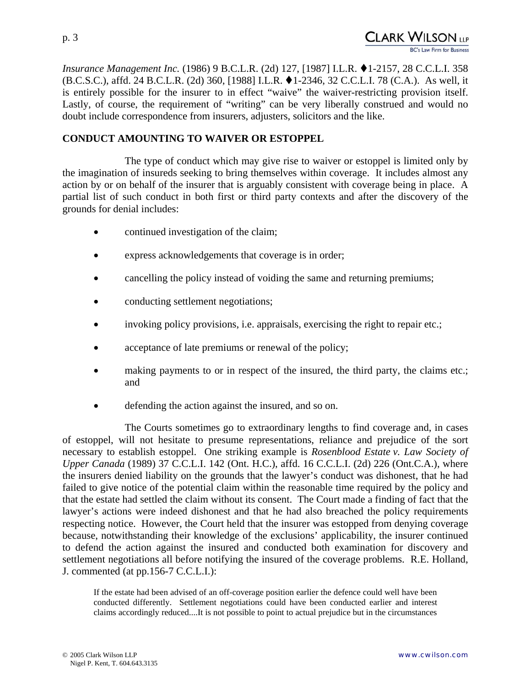*Insurance Management Inc.* (1986) 9 B.C.L.R. (2d) 127, [1987] I.L.R. ♦1-2157, 28 C.C.L.I. 358 (B.C.S.C.), affd. 24 B.C.L.R. (2d) 360, [1988] I.L.R. 1-2346, 32 C.C.L.I. 78 (C.A.). As well, it is entirely possible for the insurer to in effect "waive" the waiver-restricting provision itself. Lastly, of course, the requirement of "writing" can be very liberally construed and would no doubt include correspondence from insurers, adjusters, solicitors and the like.

## **CONDUCT AMOUNTING TO WAIVER OR ESTOPPEL**

The type of conduct which may give rise to waiver or estoppel is limited only by the imagination of insureds seeking to bring themselves within coverage. It includes almost any action by or on behalf of the insurer that is arguably consistent with coverage being in place. A partial list of such conduct in both first or third party contexts and after the discovery of the grounds for denial includes:

- continued investigation of the claim;
- express acknowledgements that coverage is in order;
- cancelling the policy instead of voiding the same and returning premiums;
- conducting settlement negotiations;
- invoking policy provisions, i.e. appraisals, exercising the right to repair etc.;
- acceptance of late premiums or renewal of the policy;
- making payments to or in respect of the insured, the third party, the claims etc.; and
- defending the action against the insured, and so on.

The Courts sometimes go to extraordinary lengths to find coverage and, in cases of estoppel, will not hesitate to presume representations, reliance and prejudice of the sort necessary to establish estoppel. One striking example is *Rosenblood Estate v. Law Society of Upper Canada* (1989) 37 C.C.L.I. 142 (Ont. H.C.), affd. 16 C.C.L.I. (2d) 226 (Ont.C.A.), where the insurers denied liability on the grounds that the lawyer's conduct was dishonest, that he had failed to give notice of the potential claim within the reasonable time required by the policy and that the estate had settled the claim without its consent. The Court made a finding of fact that the lawyer's actions were indeed dishonest and that he had also breached the policy requirements respecting notice. However, the Court held that the insurer was estopped from denying coverage because, notwithstanding their knowledge of the exclusions' applicability, the insurer continued to defend the action against the insured and conducted both examination for discovery and settlement negotiations all before notifying the insured of the coverage problems. R.E. Holland, J. commented (at pp.156-7 C.C.L.I.):

If the estate had been advised of an off-coverage position earlier the defence could well have been conducted differently. Settlement negotiations could have been conducted earlier and interest claims accordingly reduced....It is not possible to point to actual prejudice but in the circumstances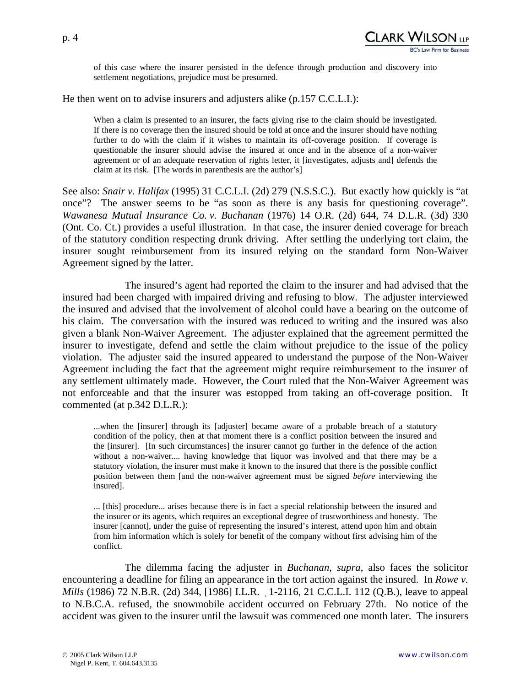of this case where the insurer persisted in the defence through production and discovery into settlement negotiations, prejudice must be presumed.

He then went on to advise insurers and adjusters alike (p.157 C.C.L.I.):

When a claim is presented to an insurer, the facts giving rise to the claim should be investigated. If there is no coverage then the insured should be told at once and the insurer should have nothing further to do with the claim if it wishes to maintain its off-coverage position. If coverage is questionable the insurer should advise the insured at once and in the absence of a non-waiver agreement or of an adequate reservation of rights letter, it [investigates, adjusts and] defends the claim at its risk. [The words in parenthesis are the author's]

See also: *Snair v. Halifax* (1995) 31 C.C.L.I. (2d) 279 (N.S.S.C.). But exactly how quickly is "at once"? The answer seems to be "as soon as there is any basis for questioning coverage". *Wawanesa Mutual Insurance Co. v. Buchanan* (1976) 14 O.R. (2d) 644, 74 D.L.R. (3d) 330 (Ont. Co. Ct.) provides a useful illustration. In that case, the insurer denied coverage for breach of the statutory condition respecting drunk driving. After settling the underlying tort claim, the insurer sought reimbursement from its insured relying on the standard form Non-Waiver Agreement signed by the latter.

The insured's agent had reported the claim to the insurer and had advised that the insured had been charged with impaired driving and refusing to blow. The adjuster interviewed the insured and advised that the involvement of alcohol could have a bearing on the outcome of his claim. The conversation with the insured was reduced to writing and the insured was also given a blank Non-Waiver Agreement. The adjuster explained that the agreement permitted the insurer to investigate, defend and settle the claim without prejudice to the issue of the policy violation. The adjuster said the insured appeared to understand the purpose of the Non-Waiver Agreement including the fact that the agreement might require reimbursement to the insurer of any settlement ultimately made. However, the Court ruled that the Non-Waiver Agreement was not enforceable and that the insurer was estopped from taking an off-coverage position. It commented (at p.342 D.L.R.):

...when the [insurer] through its [adjuster] became aware of a probable breach of a statutory condition of the policy, then at that moment there is a conflict position between the insured and the [insurer]. [In such circumstances] the insurer cannot go further in the defence of the action without a non-waiver.... having knowledge that liquor was involved and that there may be a statutory violation, the insurer must make it known to the insured that there is the possible conflict position between them [and the non-waiver agreement must be signed *before* interviewing the insured].

... [this] procedure... arises because there is in fact a special relationship between the insured and the insurer or its agents, which requires an exceptional degree of trustworthiness and honesty. The insurer [cannot], under the guise of representing the insured's interest, attend upon him and obtain from him information which is solely for benefit of the company without first advising him of the conflict.

The dilemma facing the adjuster in *Buchanan*, *supra*, also faces the solicitor encountering a deadline for filing an appearance in the tort action against the insured. In *Rowe v. Mills* (1986) 72 N.B.R. (2d) 344, [1986] I.L.R. 1-2116, 21 C.C.L.I. 112 (Q.B.), leave to appeal to N.B.C.A. refused, the snowmobile accident occurred on February 27th. No notice of the accident was given to the insurer until the lawsuit was commenced one month later. The insurers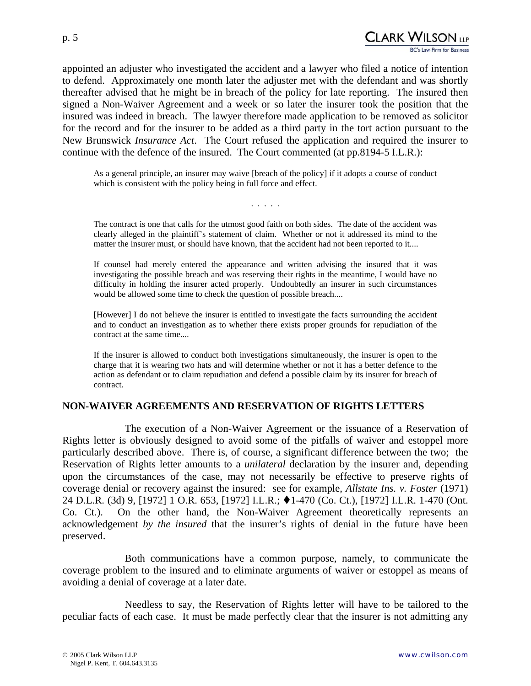appointed an adjuster who investigated the accident and a lawyer who filed a notice of intention to defend. Approximately one month later the adjuster met with the defendant and was shortly thereafter advised that he might be in breach of the policy for late reporting. The insured then signed a Non-Waiver Agreement and a week or so later the insurer took the position that the insured was indeed in breach. The lawyer therefore made application to be removed as solicitor for the record and for the insurer to be added as a third party in the tort action pursuant to the New Brunswick *Insurance Act*. The Court refused the application and required the insurer to continue with the defence of the insured. The Court commented (at pp.8194-5 I.L.R.):

As a general principle, an insurer may waive [breach of the policy] if it adopts a course of conduct which is consistent with the policy being in full force and effect.

The contract is one that calls for the utmost good faith on both sides. The date of the accident was clearly alleged in the plaintiff's statement of claim. Whether or not it addressed its mind to the matter the insurer must, or should have known, that the accident had not been reported to it....

. . . . .

If counsel had merely entered the appearance and written advising the insured that it was investigating the possible breach and was reserving their rights in the meantime, I would have no difficulty in holding the insurer acted properly. Undoubtedly an insurer in such circumstances would be allowed some time to check the question of possible breach....

[However] I do not believe the insurer is entitled to investigate the facts surrounding the accident and to conduct an investigation as to whether there exists proper grounds for repudiation of the contract at the same time....

If the insurer is allowed to conduct both investigations simultaneously, the insurer is open to the charge that it is wearing two hats and will determine whether or not it has a better defence to the action as defendant or to claim repudiation and defend a possible claim by its insurer for breach of contract.

#### **NON-WAIVER AGREEMENTS AND RESERVATION OF RIGHTS LETTERS**

The execution of a Non-Waiver Agreement or the issuance of a Reservation of Rights letter is obviously designed to avoid some of the pitfalls of waiver and estoppel more particularly described above. There is, of course, a significant difference between the two; the Reservation of Rights letter amounts to a *unilateral* declaration by the insurer and, depending upon the circumstances of the case, may not necessarily be effective to preserve rights of coverage denial or recovery against the insured: see for example, *Allstate Ins. v. Foster* (1971) 24 D.L.R. (3d) 9, [1972] 1 O.R. 653, [1972] I.L.R.; ♦ 1-470 (Co. Ct.), [1972] I.L.R. 1-470 (Ont. Co. Ct.). On the other hand, the Non-Waiver Agreement theoretically represents an acknowledgement *by the insured* that the insurer's rights of denial in the future have been preserved.

 Both communications have a common purpose, namely, to communicate the coverage problem to the insured and to eliminate arguments of waiver or estoppel as means of avoiding a denial of coverage at a later date.

Needless to say, the Reservation of Rights letter will have to be tailored to the peculiar facts of each case. It must be made perfectly clear that the insurer is not admitting any

CLARK WILSON LLP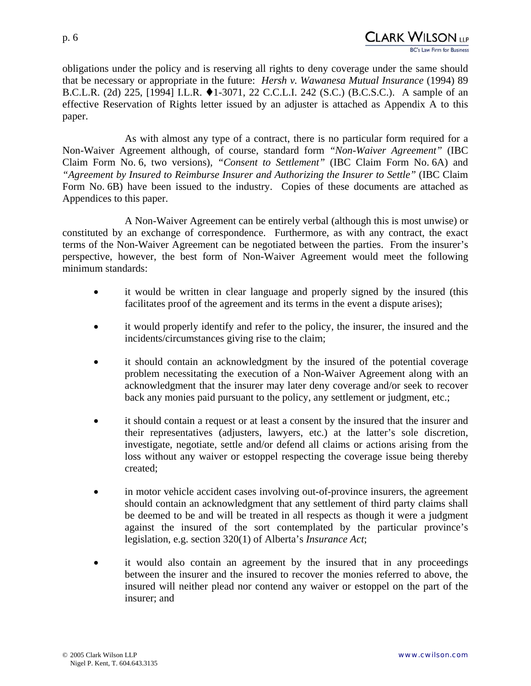p. 6

paper.



As with almost any type of a contract, there is no particular form required for a Non-Waiver Agreement although, of course, standard form *"Non-Waiver Agreement"* (IBC Claim Form No. 6, two versions), *"Consent to Settlement"* (IBC Claim Form No. 6A) and *"Agreement by Insured to Reimburse Insurer and Authorizing the Insurer to Settle"* (IBC Claim Form No. 6B) have been issued to the industry. Copies of these documents are attached as Appendices to this paper.

A Non-Waiver Agreement can be entirely verbal (although this is most unwise) or constituted by an exchange of correspondence. Furthermore, as with any contract, the exact terms of the Non-Waiver Agreement can be negotiated between the parties. From the insurer's perspective, however, the best form of Non-Waiver Agreement would meet the following minimum standards:

- it would be written in clear language and properly signed by the insured (this facilitates proof of the agreement and its terms in the event a dispute arises);
- it would properly identify and refer to the policy, the insurer, the insured and the incidents/circumstances giving rise to the claim;
- it should contain an acknowledgment by the insured of the potential coverage problem necessitating the execution of a Non-Waiver Agreement along with an acknowledgment that the insurer may later deny coverage and/or seek to recover back any monies paid pursuant to the policy, any settlement or judgment, etc.;
- it should contain a request or at least a consent by the insured that the insurer and their representatives (adjusters, lawyers, etc.) at the latter's sole discretion, investigate, negotiate, settle and/or defend all claims or actions arising from the loss without any waiver or estoppel respecting the coverage issue being thereby created;
- in motor vehicle accident cases involving out-of-province insurers, the agreement should contain an acknowledgment that any settlement of third party claims shall be deemed to be and will be treated in all respects as though it were a judgment against the insured of the sort contemplated by the particular province's legislation, e.g. section 320(1) of Alberta's *Insurance Act*;
- it would also contain an agreement by the insured that in any proceedings between the insurer and the insured to recover the monies referred to above, the insured will neither plead nor contend any waiver or estoppel on the part of the insurer; and

CLARK WILSON <sub>llp</sub>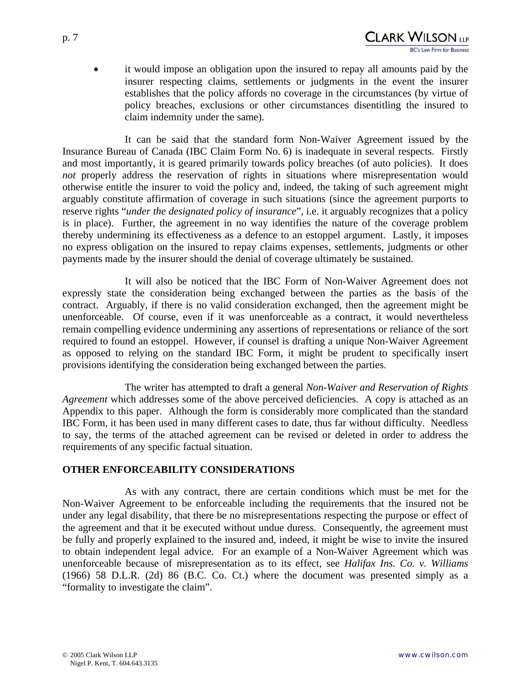• it would impose an obligation upon the insured to repay all amounts paid by the insurer respecting claims, settlements or judgments in the event the insurer establishes that the policy affords no coverage in the circumstances (by virtue of policy breaches, exclusions or other circumstances disentitling the insured to claim indemnity under the same).

It can be said that the standard form Non-Waiver Agreement issued by the Insurance Bureau of Canada (IBC Claim Form No. 6) is inadequate in several respects. Firstly and most importantly, it is geared primarily towards policy breaches (of auto policies). It does *not* properly address the reservation of rights in situations where misrepresentation would otherwise entitle the insurer to void the policy and, indeed, the taking of such agreement might arguably constitute affirmation of coverage in such situations (since the agreement purports to reserve rights "*under the designated policy of insurance*", i.e. it arguably recognizes that a policy is in place). Further, the agreement in no way identifies the nature of the coverage problem thereby undermining its effectiveness as a defence to an estoppel argument. Lastly, it imposes no express obligation on the insured to repay claims expenses, settlements, judgments or other payments made by the insurer should the denial of coverage ultimately be sustained.

It will also be noticed that the IBC Form of Non-Waiver Agreement does not expressly state the consideration being exchanged between the parties as the basis of the contract. Arguably, if there is no valid consideration exchanged, then the agreement might be unenforceable. Of course, even if it was unenforceable as a contract, it would nevertheless remain compelling evidence undermining any assertions of representations or reliance of the sort required to found an estoppel. However, if counsel is drafting a unique Non-Waiver Agreement as opposed to relying on the standard IBC Form, it might be prudent to specifically insert provisions identifying the consideration being exchanged between the parties.

The writer has attempted to draft a general *Non-Waiver and Reservation of Rights Agreement* which addresses some of the above perceived deficiencies. A copy is attached as an Appendix to this paper. Although the form is considerably more complicated than the standard IBC Form, it has been used in many different cases to date, thus far without difficulty. Needless to say, the terms of the attached agreement can be revised or deleted in order to address the requirements of any specific factual situation.

#### **OTHER ENFORCEABILITY CONSIDERATIONS**

As with any contract, there are certain conditions which must be met for the Non-Waiver Agreement to be enforceable including the requirements that the insured not be under any legal disability, that there be no misrepresentations respecting the purpose or effect of the agreement and that it be executed without undue duress. Consequently, the agreement must be fully and properly explained to the insured and, indeed, it might be wise to invite the insured to obtain independent legal advice. For an example of a Non-Waiver Agreement which was unenforceable because of misrepresentation as to its effect, see *Halifax Ins. Co. v. Williams* (1966) 58 D.L.R. (2d) 86 (B.C. Co. Ct.) where the document was presented simply as a "formality to investigate the claim".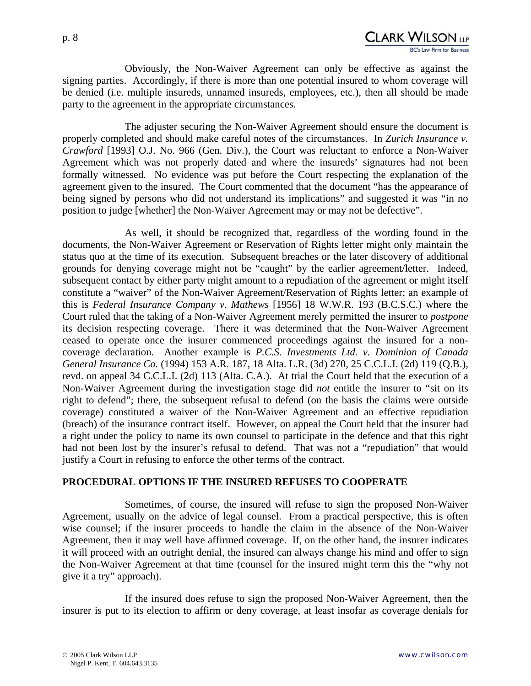Obviously, the Non-Waiver Agreement can only be effective as against the signing parties. Accordingly, if there is more than one potential insured to whom coverage will be denied (i.e. multiple insureds, unnamed insureds, employees, etc.), then all should be made party to the agreement in the appropriate circumstances.

The adjuster securing the Non-Waiver Agreement should ensure the document is properly completed and should make careful notes of the circumstances. In *Zurich Insurance v. Crawford* [1993] O.J. No. 966 (Gen. Div.), the Court was reluctant to enforce a Non-Waiver Agreement which was not properly dated and where the insureds' signatures had not been formally witnessed. No evidence was put before the Court respecting the explanation of the agreement given to the insured. The Court commented that the document "has the appearance of being signed by persons who did not understand its implications" and suggested it was "in no position to judge [whether] the Non-Waiver Agreement may or may not be defective".

As well, it should be recognized that, regardless of the wording found in the documents, the Non-Waiver Agreement or Reservation of Rights letter might only maintain the status quo at the time of its execution. Subsequent breaches or the later discovery of additional grounds for denying coverage might not be "caught" by the earlier agreement/letter. Indeed, subsequent contact by either party might amount to a repudiation of the agreement or might itself constitute a "waiver" of the Non-Waiver Agreement/Reservation of Rights letter; an example of this is *Federal Insurance Company v. Mathews* [1956] 18 W.W.R. 193 (B.C.S.C.) where the Court ruled that the taking of a Non-Waiver Agreement merely permitted the insurer to *postpone* its decision respecting coverage. There it was determined that the Non-Waiver Agreement ceased to operate once the insurer commenced proceedings against the insured for a noncoverage declaration. Another example is *P.C.S. Investments Ltd. v. Dominion of Canada General Insurance Co.* (1994) 153 A.R. 187, 18 Alta. L.R. (3d) 270, 25 C.C.L.I. (2d) 119 (Q.B.), revd. on appeal 34 C.C.L.I. (2d) 113 (Alta. C.A.). At trial the Court held that the execution of a Non-Waiver Agreement during the investigation stage did *not* entitle the insurer to "sit on its right to defend"; there, the subsequent refusal to defend (on the basis the claims were outside coverage) constituted a waiver of the Non-Waiver Agreement and an effective repudiation (breach) of the insurance contract itself. However, on appeal the Court held that the insurer had a right under the policy to name its own counsel to participate in the defence and that this right had not been lost by the insurer's refusal to defend. That was not a "repudiation" that would justify a Court in refusing to enforce the other terms of the contract.

#### **PROCEDURAL OPTIONS IF THE INSURED REFUSES TO COOPERATE**

Sometimes, of course, the insured will refuse to sign the proposed Non-Waiver Agreement, usually on the advice of legal counsel. From a practical perspective, this is often wise counsel; if the insurer proceeds to handle the claim in the absence of the Non-Waiver Agreement, then it may well have affirmed coverage. If, on the other hand, the insurer indicates it will proceed with an outright denial, the insured can always change his mind and offer to sign the Non-Waiver Agreement at that time (counsel for the insured might term this the "why not give it a try" approach).

If the insured does refuse to sign the proposed Non-Waiver Agreement, then the insurer is put to its election to affirm or deny coverage, at least insofar as coverage denials for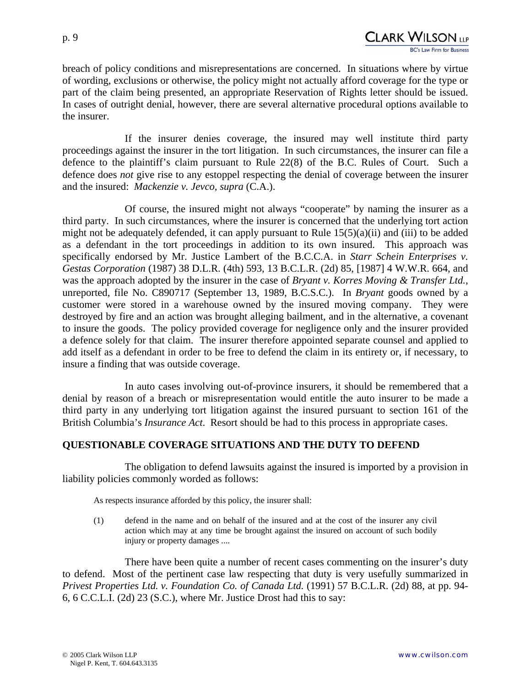breach of policy conditions and misrepresentations are concerned. In situations where by virtue of wording, exclusions or otherwise, the policy might not actually afford coverage for the type or part of the claim being presented, an appropriate Reservation of Rights letter should be issued. In cases of outright denial, however, there are several alternative procedural options available to the insurer.

If the insurer denies coverage, the insured may well institute third party proceedings against the insurer in the tort litigation. In such circumstances, the insurer can file a defence to the plaintiff's claim pursuant to Rule 22(8) of the B.C. Rules of Court. Such a defence does *not* give rise to any estoppel respecting the denial of coverage between the insurer and the insured: *Mackenzie v. Jevco, supra* (C.A.).

Of course, the insured might not always "cooperate" by naming the insurer as a third party. In such circumstances, where the insurer is concerned that the underlying tort action might not be adequately defended, it can apply pursuant to Rule  $15(5)(a)(ii)$  and (iii) to be added as a defendant in the tort proceedings in addition to its own insured. This approach was specifically endorsed by Mr. Justice Lambert of the B.C.C.A. in *Starr Schein Enterprises v. Gestas Corporation* (1987) 38 D.L.R. (4th) 593, 13 B.C.L.R. (2d) 85, [1987] 4 W.W.R. 664, and was the approach adopted by the insurer in the case of *Bryant v. Korres Moving & Transfer Ltd.*, unreported, file No. C890717 (September 13, 1989, B.C.S.C.). In *Bryant* goods owned by a customer were stored in a warehouse owned by the insured moving company. They were destroyed by fire and an action was brought alleging bailment, and in the alternative, a covenant to insure the goods. The policy provided coverage for negligence only and the insurer provided a defence solely for that claim. The insurer therefore appointed separate counsel and applied to add itself as a defendant in order to be free to defend the claim in its entirety or, if necessary, to insure a finding that was outside coverage.

In auto cases involving out-of-province insurers, it should be remembered that a denial by reason of a breach or misrepresentation would entitle the auto insurer to be made a third party in any underlying tort litigation against the insured pursuant to section 161 of the British Columbia's *Insurance Act*. Resort should be had to this process in appropriate cases.

## **QUESTIONABLE COVERAGE SITUATIONS AND THE DUTY TO DEFEND**

The obligation to defend lawsuits against the insured is imported by a provision in liability policies commonly worded as follows:

As respects insurance afforded by this policy, the insurer shall:

(1) defend in the name and on behalf of the insured and at the cost of the insurer any civil action which may at any time be brought against the insured on account of such bodily injury or property damages ....

There have been quite a number of recent cases commenting on the insurer's duty to defend. Most of the pertinent case law respecting that duty is very usefully summarized in *Privest Properties Ltd. v. Foundation Co. of Canada Ltd.* (1991) 57 B.C.L.R. (2d) 88, at pp. 94- 6, 6 C.C.L.I. (2d) 23 (S.C.), where Mr. Justice Drost had this to say: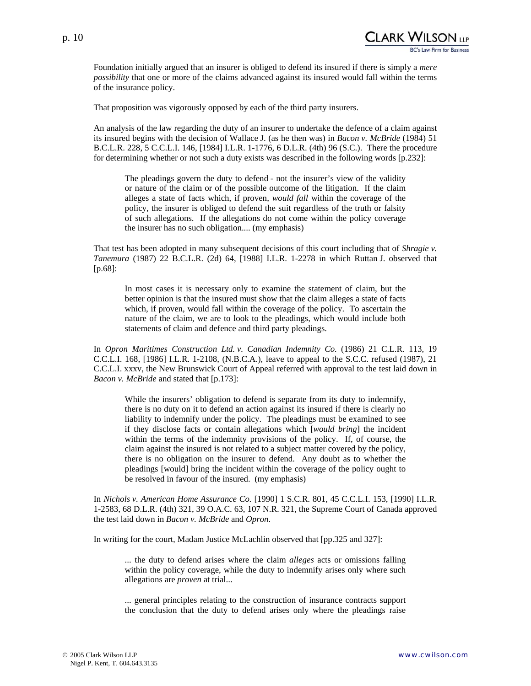

Foundation initially argued that an insurer is obliged to defend its insured if there is simply a *mere possibility* that one or more of the claims advanced against its insured would fall within the terms of the insurance policy.

That proposition was vigorously opposed by each of the third party insurers.

An analysis of the law regarding the duty of an insurer to undertake the defence of a claim against its insured begins with the decision of Wallace J. (as he then was) in *Bacon v. McBride* (1984) 51 B.C.L.R. 228, 5 C.C.L.I. 146, [1984] I.L.R. 1-1776, 6 D.L.R. (4th) 96 (S.C.). There the procedure for determining whether or not such a duty exists was described in the following words [p.232]:

The pleadings govern the duty to defend - not the insurer's view of the validity or nature of the claim or of the possible outcome of the litigation. If the claim alleges a state of facts which, if proven, *would fall* within the coverage of the policy, the insurer is obliged to defend the suit regardless of the truth or falsity of such allegations. If the allegations do not come within the policy coverage the insurer has no such obligation.... (my emphasis)

That test has been adopted in many subsequent decisions of this court including that of *Shragie v. Tanemura* (1987) 22 B.C.L.R. (2d) 64, [1988] I.L.R. 1-2278 in which Ruttan J. observed that [p.68]:

In most cases it is necessary only to examine the statement of claim, but the better opinion is that the insured must show that the claim alleges a state of facts which, if proven, would fall within the coverage of the policy. To ascertain the nature of the claim, we are to look to the pleadings, which would include both statements of claim and defence and third party pleadings.

In *Opron Maritimes Construction Ltd. v. Canadian Indemnity Co.* (1986) 21 C.L.R. 113, 19 C.C.L.I. 168, [1986] I.L.R. 1-2108, (N.B.C.A.), leave to appeal to the S.C.C. refused (1987), 21 C.C.L.I. xxxv, the New Brunswick Court of Appeal referred with approval to the test laid down in *Bacon v. McBride* and stated that [p.173]:

While the insurers' obligation to defend is separate from its duty to indemnify, there is no duty on it to defend an action against its insured if there is clearly no liability to indemnify under the policy. The pleadings must be examined to see if they disclose facts or contain allegations which [*would bring*] the incident within the terms of the indemnity provisions of the policy. If, of course, the claim against the insured is not related to a subject matter covered by the policy, there is no obligation on the insurer to defend. Any doubt as to whether the pleadings [would] bring the incident within the coverage of the policy ought to be resolved in favour of the insured. (my emphasis)

In *Nichols v. American Home Assurance Co.* [1990] 1 S.C.R. 801, 45 C.C.L.I. 153, [1990] I.L.R. 1-2583, 68 D.L.R. (4th) 321, 39 O.A.C. 63, 107 N.R. 321, the Supreme Court of Canada approved the test laid down in *Bacon v. McBride* and *Opron*.

In writing for the court, Madam Justice McLachlin observed that [pp.325 and 327]:

... the duty to defend arises where the claim *alleges* acts or omissions falling within the policy coverage, while the duty to indemnify arises only where such allegations are *proven* at trial...

... general principles relating to the construction of insurance contracts support the conclusion that the duty to defend arises only where the pleadings raise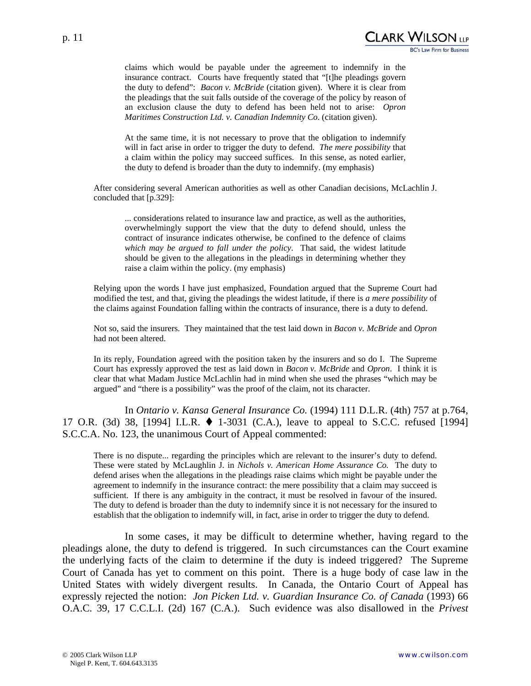claims which would be payable under the agreement to indemnify in the insurance contract. Courts have frequently stated that "[t]he pleadings govern the duty to defend": *Bacon v. McBride* (citation given). Where it is clear from the pleadings that the suit falls outside of the coverage of the policy by reason of an exclusion clause the duty to defend has been held not to arise: *Opron Maritimes Construction Ltd. v. Canadian Indemnity Co.* (citation given).

At the same time, it is not necessary to prove that the obligation to indemnify will in fact arise in order to trigger the duty to defend. *The mere possibility* that a claim within the policy may succeed suffices. In this sense, as noted earlier, the duty to defend is broader than the duty to indemnify. (my emphasis)

After considering several American authorities as well as other Canadian decisions, McLachlin J. concluded that [p.329]:

... considerations related to insurance law and practice, as well as the authorities, overwhelmingly support the view that the duty to defend should, unless the contract of insurance indicates otherwise, be confined to the defence of claims *which may be argued to fall under the policy*. That said, the widest latitude should be given to the allegations in the pleadings in determining whether they raise a claim within the policy. (my emphasis)

Relying upon the words I have just emphasized, Foundation argued that the Supreme Court had modified the test, and that, giving the pleadings the widest latitude, if there is *a mere possibility* of the claims against Foundation falling within the contracts of insurance, there is a duty to defend.

Not so, said the insurers. They maintained that the test laid down in *Bacon v. McBride* and *Opron* had not been altered.

In its reply, Foundation agreed with the position taken by the insurers and so do I. The Supreme Court has expressly approved the test as laid down in *Bacon v. McBride* and *Opron*. I think it is clear that what Madam Justice McLachlin had in mind when she used the phrases "which may be argued" and "there is a possibility" was the proof of the claim, not its character.

 In *Ontario v. Kansa General Insurance Co.* (1994) 111 D.L.R. (4th) 757 at p.764, 17 O.R. (3d) 38, [1994] I.L.R.  $\blacklozenge$  1-3031 (C.A.), leave to appeal to S.C.C. refused [1994] S.C.C.A. No. 123, the unanimous Court of Appeal commented:

There is no dispute... regarding the principles which are relevant to the insurer's duty to defend. These were stated by McLaughlin J. in *Nichols v. American Home Assurance Co.* The duty to defend arises when the allegations in the pleadings raise claims which might be payable under the agreement to indemnify in the insurance contract: the mere possibility that a claim may succeed is sufficient. If there is any ambiguity in the contract, it must be resolved in favour of the insured. The duty to defend is broader than the duty to indemnify since it is not necessary for the insured to establish that the obligation to indemnify will, in fact, arise in order to trigger the duty to defend.

In some cases, it may be difficult to determine whether, having regard to the pleadings alone, the duty to defend is triggered. In such circumstances can the Court examine the underlying facts of the claim to determine if the duty is indeed triggered? The Supreme Court of Canada has yet to comment on this point. There is a huge body of case law in the United States with widely divergent results. In Canada, the Ontario Court of Appeal has expressly rejected the notion: *Jon Picken Ltd. v. Guardian Insurance Co. of Canada* (1993) 66 O.A.C. 39, 17 C.C.L.I. (2d) 167 (C.A.). Such evidence was also disallowed in the *Privest*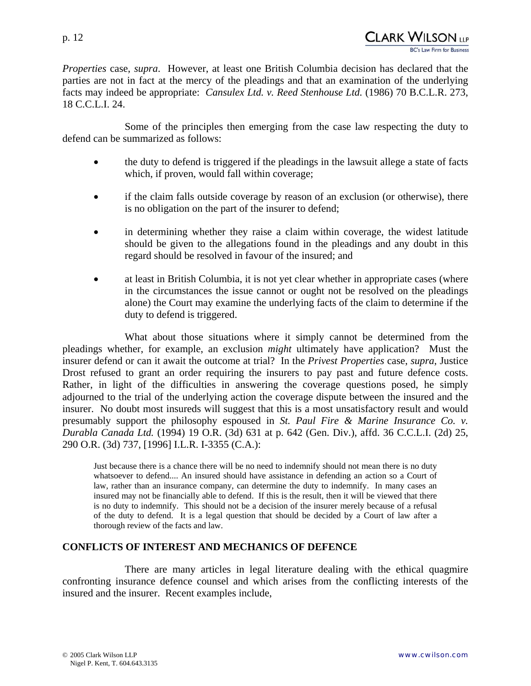*Properties* case, *supra*. However, at least one British Columbia decision has declared that the parties are not in fact at the mercy of the pleadings and that an examination of the underlying facts may indeed be appropriate: *Cansulex Ltd. v. Reed Stenhouse Ltd.* (1986) 70 B.C.L.R. 273, 18 C.C.L.I. 24.

Some of the principles then emerging from the case law respecting the duty to defend can be summarized as follows:

- the duty to defend is triggered if the pleadings in the lawsuit allege a state of facts which, if proven, would fall within coverage;
- if the claim falls outside coverage by reason of an exclusion (or otherwise), there is no obligation on the part of the insurer to defend;
- in determining whether they raise a claim within coverage, the widest latitude should be given to the allegations found in the pleadings and any doubt in this regard should be resolved in favour of the insured; and
- at least in British Columbia, it is not yet clear whether in appropriate cases (where in the circumstances the issue cannot or ought not be resolved on the pleadings alone) the Court may examine the underlying facts of the claim to determine if the duty to defend is triggered.

What about those situations where it simply cannot be determined from the pleadings whether, for example, an exclusion *might* ultimately have application? Must the insurer defend or can it await the outcome at trial? In the *Privest Properties* case, *supra*, Justice Drost refused to grant an order requiring the insurers to pay past and future defence costs. Rather, in light of the difficulties in answering the coverage questions posed, he simply adjourned to the trial of the underlying action the coverage dispute between the insured and the insurer. No doubt most insureds will suggest that this is a most unsatisfactory result and would presumably support the philosophy espoused in *St. Paul Fire & Marine Insurance Co. v. Durabla Canada Ltd.* (1994) 19 O.R. (3d) 631 at p. 642 (Gen. Div.), affd. 36 C.C.L.I. (2d) 25, 290 O.R. (3d) 737, [1996] I.L.R. I-3355 (C.A.):

Just because there is a chance there will be no need to indemnify should not mean there is no duty whatsoever to defend.... An insured should have assistance in defending an action so a Court of law, rather than an insurance company, can determine the duty to indemnify. In many cases an insured may not be financially able to defend. If this is the result, then it will be viewed that there is no duty to indemnify. This should not be a decision of the insurer merely because of a refusal of the duty to defend. It is a legal question that should be decided by a Court of law after a thorough review of the facts and law.

## **CONFLICTS OF INTEREST AND MECHANICS OF DEFENCE**

There are many articles in legal literature dealing with the ethical quagmire confronting insurance defence counsel and which arises from the conflicting interests of the insured and the insurer. Recent examples include,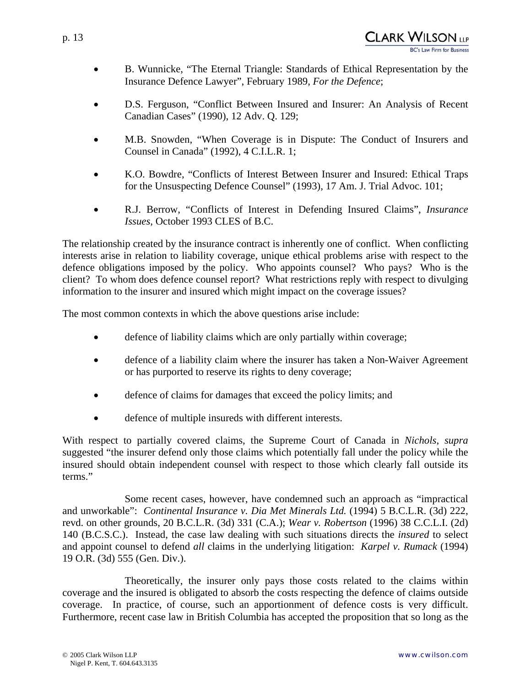- B. Wunnicke, "The Eternal Triangle: Standards of Ethical Representation by the Insurance Defence Lawyer", February 1989, *For the Defence*;
- D.S. Ferguson, "Conflict Between Insured and Insurer: An Analysis of Recent Canadian Cases" (1990), 12 Adv. Q. 129;
- M.B. Snowden, "When Coverage is in Dispute: The Conduct of Insurers and Counsel in Canada" (1992), 4 C.I.L.R. 1;
- K.O. Bowdre, "Conflicts of Interest Between Insurer and Insured: Ethical Traps for the Unsuspecting Defence Counsel" (1993), 17 Am. J. Trial Advoc. 101;
- R.J. Berrow, "Conflicts of Interest in Defending Insured Claims", *Insurance Issues*, October 1993 CLES of B.C.

The relationship created by the insurance contract is inherently one of conflict. When conflicting interests arise in relation to liability coverage, unique ethical problems arise with respect to the defence obligations imposed by the policy. Who appoints counsel? Who pays? Who is the client? To whom does defence counsel report? What restrictions reply with respect to divulging information to the insurer and insured which might impact on the coverage issues?

The most common contexts in which the above questions arise include:

- defence of liability claims which are only partially within coverage;
- defence of a liability claim where the insurer has taken a Non-Waiver Agreement or has purported to reserve its rights to deny coverage;
- defence of claims for damages that exceed the policy limits; and
- defence of multiple insureds with different interests.

With respect to partially covered claims, the Supreme Court of Canada in *Nichols*, *supra* suggested "the insurer defend only those claims which potentially fall under the policy while the insured should obtain independent counsel with respect to those which clearly fall outside its terms."

Some recent cases, however, have condemned such an approach as "impractical and unworkable": *Continental Insurance v. Dia Met Minerals Ltd.* (1994) 5 B.C.L.R. (3d) 222, revd. on other grounds, 20 B.C.L.R. (3d) 331 (C.A.); *Wear v. Robertson* (1996) 38 C.C.L.I. (2d) 140 (B.C.S.C.). Instead, the case law dealing with such situations directs the *insured* to select and appoint counsel to defend *all* claims in the underlying litigation: *Karpel v. Rumack* (1994) 19 O.R. (3d) 555 (Gen. Div.).

Theoretically, the insurer only pays those costs related to the claims within coverage and the insured is obligated to absorb the costs respecting the defence of claims outside coverage. In practice, of course, such an apportionment of defence costs is very difficult. Furthermore, recent case law in British Columbia has accepted the proposition that so long as the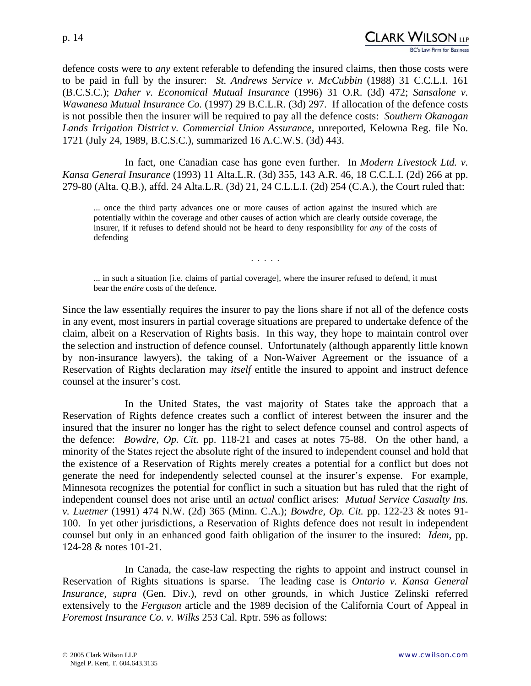CLARK WILSON <sub>LP</sub>

defence costs were to *any* extent referable to defending the insured claims, then those costs were to be paid in full by the insurer: *St. Andrews Service v. McCubbin* (1988) 31 C.C.L.I. 161 (B.C.S.C.); *Daher v. Economical Mutual Insurance* (1996) 31 O.R. (3d) 472; *Sansalone v. Wawanesa Mutual Insurance Co.* (1997) 29 B.C.L.R. (3d) 297. If allocation of the defence costs is not possible then the insurer will be required to pay all the defence costs: *Southern Okanagan Lands Irrigation District v. Commercial Union Assurance*, unreported, Kelowna Reg. file No. 1721 (July 24, 1989, B.C.S.C.), summarized 16 A.C.W.S. (3d) 443.

In fact, one Canadian case has gone even further. In *Modern Livestock Ltd. v. Kansa General Insurance* (1993) 11 Alta.L.R. (3d) 355, 143 A.R. 46, 18 C.C.L.I. (2d) 266 at pp. 279-80 (Alta. Q.B.), affd. 24 Alta.L.R. (3d) 21, 24 C.L.L.I. (2d) 254 (C.A.), the Court ruled that:

... once the third party advances one or more causes of action against the insured which are potentially within the coverage and other causes of action which are clearly outside coverage, the insurer, if it refuses to defend should not be heard to deny responsibility for *any* of the costs of defending

. . . . .

... in such a situation [i.e. claims of partial coverage], where the insurer refused to defend, it must bear the *entire* costs of the defence.

Since the law essentially requires the insurer to pay the lions share if not all of the defence costs in any event, most insurers in partial coverage situations are prepared to undertake defence of the claim, albeit on a Reservation of Rights basis. In this way, they hope to maintain control over the selection and instruction of defence counsel. Unfortunately (although apparently little known by non-insurance lawyers), the taking of a Non-Waiver Agreement or the issuance of a Reservation of Rights declaration may *itself* entitle the insured to appoint and instruct defence counsel at the insurer's cost.

In the United States, the vast majority of States take the approach that a Reservation of Rights defence creates such a conflict of interest between the insurer and the insured that the insurer no longer has the right to select defence counsel and control aspects of the defence: *Bowdre, Op. Cit.* pp. 118-21 and cases at notes 75-88. On the other hand, a minority of the States reject the absolute right of the insured to independent counsel and hold that the existence of a Reservation of Rights merely creates a potential for a conflict but does not generate the need for independently selected counsel at the insurer's expense. For example, Minnesota recognizes the potential for conflict in such a situation but has ruled that the right of independent counsel does not arise until an *actual* conflict arises: *Mutual Service Casualty Ins. v. Luetmer* (1991) 474 N.W. (2d) 365 (Minn. C.A.); *Bowdre, Op. Cit.* pp. 122-23 & notes 91- 100. In yet other jurisdictions, a Reservation of Rights defence does not result in independent counsel but only in an enhanced good faith obligation of the insurer to the insured: *Idem*, pp. 124-28 & notes 101-21.

In Canada, the case-law respecting the rights to appoint and instruct counsel in Reservation of Rights situations is sparse. The leading case is *Ontario v. Kansa General Insurance, supra* (Gen. Div.), revd on other grounds, in which Justice Zelinski referred extensively to the *Ferguson* article and the 1989 decision of the California Court of Appeal in *Foremost Insurance Co. v. Wilks* 253 Cal. Rptr. 596 as follows: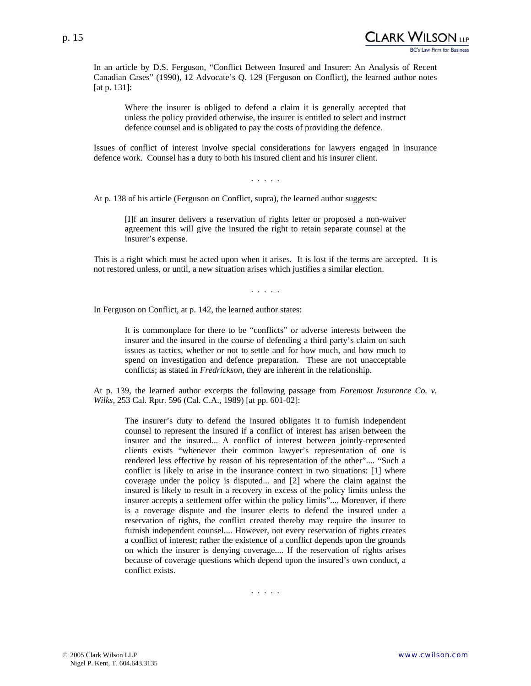

Clark Wilson (18

In an article by D.S. Ferguson, "Conflict Between Insured and Insurer: An Analysis of Recent Canadian Cases" (1990), 12 Advocate's Q. 129 (Ferguson on Conflict), the learned author notes [at p. 131]:

Where the insurer is obliged to defend a claim it is generally accepted that unless the policy provided otherwise, the insurer is entitled to select and instruct defence counsel and is obligated to pay the costs of providing the defence.

Issues of conflict of interest involve special considerations for lawyers engaged in insurance defence work. Counsel has a duty to both his insured client and his insurer client.

. . . . .

At p. 138 of his article (Ferguson on Conflict, supra), the learned author suggests:

[I]f an insurer delivers a reservation of rights letter or proposed a non-waiver agreement this will give the insured the right to retain separate counsel at the insurer's expense.

This is a right which must be acted upon when it arises. It is lost if the terms are accepted. It is not restored unless, or until, a new situation arises which justifies a similar election.

. . . . .

In Ferguson on Conflict, at p. 142, the learned author states:

It is commonplace for there to be "conflicts" or adverse interests between the insurer and the insured in the course of defending a third party's claim on such issues as tactics, whether or not to settle and for how much, and how much to spend on investigation and defence preparation. These are not unacceptable conflicts; as stated in *Fredrickson*, they are inherent in the relationship.

At p. 139, the learned author excerpts the following passage from *Foremost Insurance Co. v. Wilks*, 253 Cal. Rptr. 596 (Cal. C.A., 1989) [at pp. 601-02]:

The insurer's duty to defend the insured obligates it to furnish independent counsel to represent the insured if a conflict of interest has arisen between the insurer and the insured... A conflict of interest between jointly-represented clients exists "whenever their common lawyer's representation of one is rendered less effective by reason of his representation of the other".... "Such a conflict is likely to arise in the insurance context in two situations: [1] where coverage under the policy is disputed... and [2] where the claim against the insured is likely to result in a recovery in excess of the policy limits unless the insurer accepts a settlement offer within the policy limits".... Moreover, if there is a coverage dispute and the insurer elects to defend the insured under a reservation of rights, the conflict created thereby may require the insurer to furnish independent counsel.... However, not every reservation of rights creates a conflict of interest; rather the existence of a conflict depends upon the grounds on which the insurer is denying coverage.... If the reservation of rights arises because of coverage questions which depend upon the insured's own conduct, a conflict exists.

. . . . .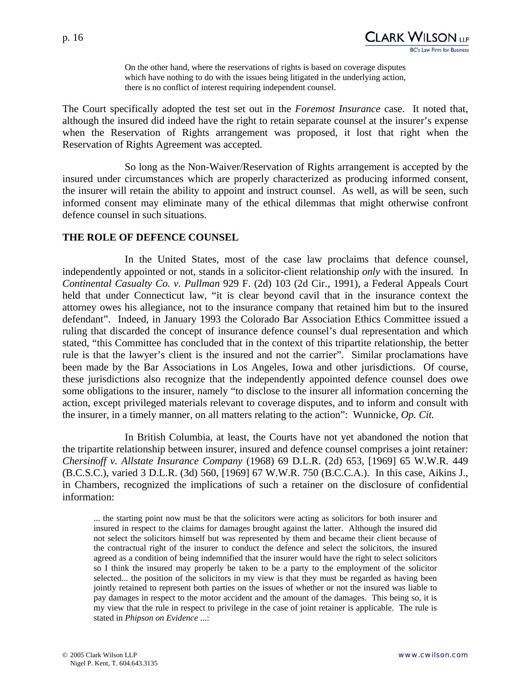p. 16

On the other hand, where the reservations of rights is based on coverage disputes which have nothing to do with the issues being litigated in the underlying action, there is no conflict of interest requiring independent counsel.

The Court specifically adopted the test set out in the *Foremost Insurance* case. It noted that, although the insured did indeed have the right to retain separate counsel at the insurer's expense when the Reservation of Rights arrangement was proposed, it lost that right when the Reservation of Rights Agreement was accepted.

So long as the Non-Waiver/Reservation of Rights arrangement is accepted by the insured under circumstances which are properly characterized as producing informed consent, the insurer will retain the ability to appoint and instruct counsel. As well, as will be seen, such informed consent may eliminate many of the ethical dilemmas that might otherwise confront defence counsel in such situations.

#### **THE ROLE OF DEFENCE COUNSEL**

In the United States, most of the case law proclaims that defence counsel, independently appointed or not, stands in a solicitor-client relationship *only* with the insured. In *Continental Casualty Co. v. Pullman* 929 F. (2d) 103 (2d Cir., 1991), a Federal Appeals Court held that under Connecticut law, "it is clear beyond cavil that in the insurance context the attorney owes his allegiance, not to the insurance company that retained him but to the insured defendant". Indeed, in January 1993 the Colorado Bar Association Ethics Committee issued a ruling that discarded the concept of insurance defence counsel's dual representation and which stated, "this Committee has concluded that in the context of this tripartite relationship, the better rule is that the lawyer's client is the insured and not the carrier". Similar proclamations have been made by the Bar Associations in Los Angeles, Iowa and other jurisdictions. Of course, these jurisdictions also recognize that the independently appointed defence counsel does owe some obligations to the insurer, namely "to disclose to the insurer all information concerning the action, except privileged materials relevant to coverage disputes, and to inform and consult with the insurer, in a timely manner, on all matters relating to the action": Wunnicke, *Op. Cit.*

In British Columbia, at least, the Courts have not yet abandoned the notion that the tripartite relationship between insurer, insured and defence counsel comprises a joint retainer: *Chersinoff v. Allstate Insurance Company* (1968) 69 D.L.R. (2d) 653, [1969] 65 W.W.R. 449 (B.C.S.C.), varied 3 D.L.R. (3d) 560, [1969] 67 W.W.R. 750 (B.C.C.A.). In this case, Aikins J., in Chambers, recognized the implications of such a retainer on the disclosure of confidential information:

... the starting point now must be that the solicitors were acting as solicitors for both insurer and insured in respect to the claims for damages brought against the latter. Although the insured did not select the solicitors himself but was represented by them and became their client because of the contractual right of the insurer to conduct the defence and select the solicitors, the insured agreed as a condition of being indemnified that the insurer would have the right to select solicitors so I think the insured may properly be taken to be a party to the employment of the solicitor selected... the position of the solicitors in my view is that they must be regarded as having been jointly retained to represent both parties on the issues of whether or not the insured was liable to pay damages in respect to the motor accident and the amount of the damages. This being so, it is my view that the rule in respect to privilege in the case of joint retainer is applicable. The rule is stated in *Phipson on Evidence* ...: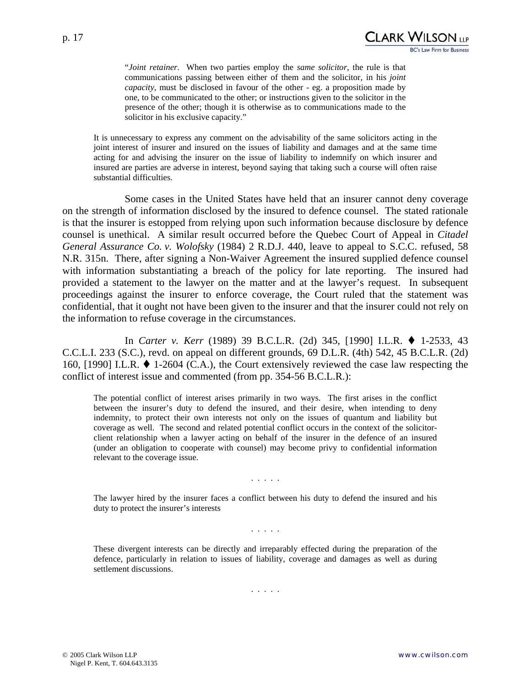"*Joint retainer*. When two parties employ the *same solicitor*, the rule is that communications passing between either of them and the solicitor, in his *joint capacity*, must be disclosed in favour of the other - eg. a proposition made by one, to be communicated to the other; or instructions given to the solicitor in the presence of the other; though it is otherwise as to communications made to the solicitor in his exclusive capacity."

It is unnecessary to express any comment on the advisability of the same solicitors acting in the joint interest of insurer and insured on the issues of liability and damages and at the same time acting for and advising the insurer on the issue of liability to indemnify on which insurer and insured are parties are adverse in interest, beyond saying that taking such a course will often raise substantial difficulties.

Some cases in the United States have held that an insurer cannot deny coverage on the strength of information disclosed by the insured to defence counsel. The stated rationale is that the insurer is estopped from relying upon such information because disclosure by defence counsel is unethical. A similar result occurred before the Quebec Court of Appeal in *Citadel General Assurance Co. v. Wolofsky* (1984) 2 R.D.J. 440, leave to appeal to S.C.C. refused, 58 N.R. 315n. There, after signing a Non-Waiver Agreement the insured supplied defence counsel with information substantiating a breach of the policy for late reporting. The insured had provided a statement to the lawyer on the matter and at the lawyer's request. In subsequent proceedings against the insurer to enforce coverage, the Court ruled that the statement was confidential, that it ought not have been given to the insurer and that the insurer could not rely on the information to refuse coverage in the circumstances.

 In *Carter v. Kerr* (1989) 39 B.C.L.R. (2d) 345, [1990] I.L.R. 1-2533, 43 C.C.L.I. 233 (S.C.), revd. on appeal on different grounds, 69 D.L.R. (4th) 542, 45 B.C.L.R. (2d) 160, [1990] I.L.R.  $\blacklozenge$  1-2604 (C.A.), the Court extensively reviewed the case law respecting the conflict of interest issue and commented (from pp. 354-56 B.C.L.R.):

The potential conflict of interest arises primarily in two ways. The first arises in the conflict between the insurer's duty to defend the insured, and their desire, when intending to deny indemnity, to protect their own interests not only on the issues of quantum and liability but coverage as well. The second and related potential conflict occurs in the context of the solicitorclient relationship when a lawyer acting on behalf of the insurer in the defence of an insured (under an obligation to cooperate with counsel) may become privy to confidential information relevant to the coverage issue.

#### . . . . .

The lawyer hired by the insurer faces a conflict between his duty to defend the insured and his duty to protect the insurer's interests

. . . . .

These divergent interests can be directly and irreparably effected during the preparation of the defence, particularly in relation to issues of liability, coverage and damages as well as during settlement discussions.

. . . . .

CLARK WILSON [LP

**BC's Law Firm for Business**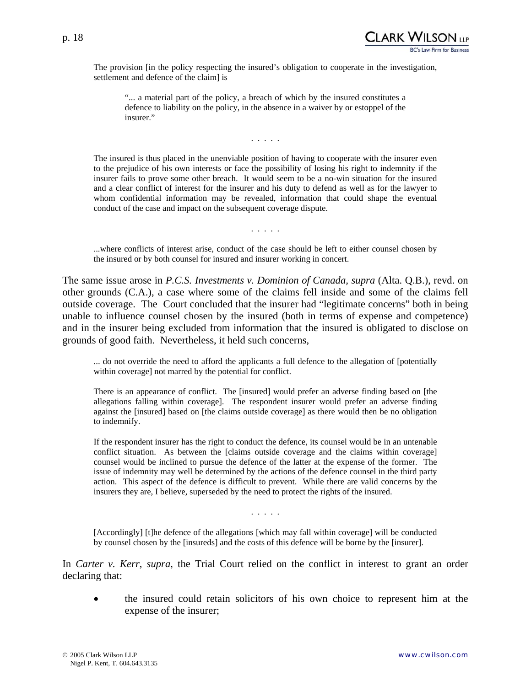

The provision [in the policy respecting the insured's obligation to cooperate in the investigation, settlement and defence of the claim] is

"... a material part of the policy, a breach of which by the insured constitutes a defence to liability on the policy, in the absence in a waiver by or estoppel of the insurer."

. . . . .

The insured is thus placed in the unenviable position of having to cooperate with the insurer even to the prejudice of his own interests or face the possibility of losing his right to indemnity if the insurer fails to prove some other breach. It would seem to be a no-win situation for the insured and a clear conflict of interest for the insurer and his duty to defend as well as for the lawyer to whom confidential information may be revealed, information that could shape the eventual conduct of the case and impact on the subsequent coverage dispute.

. . . . .

...where conflicts of interest arise, conduct of the case should be left to either counsel chosen by the insured or by both counsel for insured and insurer working in concert.

The same issue arose in *P.C.S. Investments v. Dominion of Canada, supra* (Alta. Q.B.), revd. on other grounds (C.A.), a case where some of the claims fell inside and some of the claims fell outside coverage. The Court concluded that the insurer had "legitimate concerns" both in being unable to influence counsel chosen by the insured (both in terms of expense and competence) and in the insurer being excluded from information that the insured is obligated to disclose on grounds of good faith. Nevertheless, it held such concerns,

... do not override the need to afford the applicants a full defence to the allegation of [potentially within coverage] not marred by the potential for conflict.

There is an appearance of conflict. The [insured] would prefer an adverse finding based on [the allegations falling within coverage]. The respondent insurer would prefer an adverse finding against the [insured] based on [the claims outside coverage] as there would then be no obligation to indemnify.

If the respondent insurer has the right to conduct the defence, its counsel would be in an untenable conflict situation. As between the [claims outside coverage and the claims within coverage] counsel would be inclined to pursue the defence of the latter at the expense of the former. The issue of indemnity may well be determined by the actions of the defence counsel in the third party action. This aspect of the defence is difficult to prevent. While there are valid concerns by the insurers they are, I believe, superseded by the need to protect the rights of the insured.

. . . . .

[Accordingly] [t]he defence of the allegations [which may fall within coverage] will be conducted by counsel chosen by the [insureds] and the costs of this defence will be borne by the [insurer].

In *Carter v. Kerr*, *supra*, the Trial Court relied on the conflict in interest to grant an order declaring that:

• the insured could retain solicitors of his own choice to represent him at the expense of the insurer;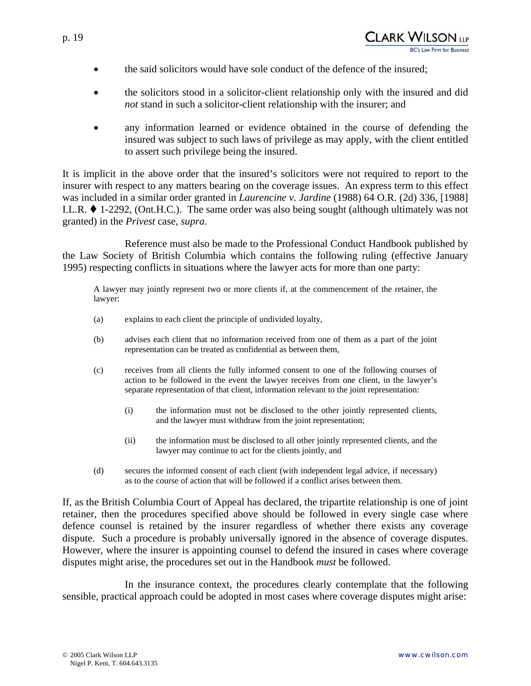- the said solicitors would have sole conduct of the defence of the insured;
- the solicitors stood in a solicitor-client relationship only with the insured and did *not* stand in such a solicitor-client relationship with the insurer; and
- any information learned or evidence obtained in the course of defending the insured was subject to such laws of privilege as may apply, with the client entitled to assert such privilege being the insured.

It is implicit in the above order that the insured's solicitors were not required to report to the insurer with respect to any matters bearing on the coverage issues. An express term to this effect was included in a similar order granted in *Laurencine v. Jardine* (1988) 64 O.R. (2d) 336, [1988] I.L.R.  $\blacklozenge$  1-2292, (Ont.H.C.). The same order was also being sought (although ultimately was not granted) in the *Privest* case, *supra*.

Reference must also be made to the Professional Conduct Handbook published by the Law Society of British Columbia which contains the following ruling (effective January 1995) respecting conflicts in situations where the lawyer acts for more than one party:

A lawyer may jointly represent two or more clients if, at the commencement of the retainer, the lawyer:

- (a) explains to each client the principle of undivided loyalty,
- (b) advises each client that no information received from one of them as a part of the joint representation can be treated as confidential as between them,
- (c) receives from all clients the fully informed consent to one of the following courses of action to be followed in the event the lawyer receives from one client, in the lawyer's separate representation of that client, information relevant to the joint representation:
	- (i) the information must not be disclosed to the other jointly represented clients, and the lawyer must withdraw from the joint representation;
	- (ii) the information must be disclosed to all other jointly represented clients, and the lawyer may continue to act for the clients jointly, and
- (d) secures the informed consent of each client (with independent legal advice, if necessary) as to the course of action that will be followed if a conflict arises between them.

If, as the British Columbia Court of Appeal has declared, the tripartite relationship is one of joint retainer, then the procedures specified above should be followed in every single case where defence counsel is retained by the insurer regardless of whether there exists any coverage dispute. Such a procedure is probably universally ignored in the absence of coverage disputes. However, where the insurer is appointing counsel to defend the insured in cases where coverage disputes might arise, the procedures set out in the Handbook *must* be followed.

In the insurance context, the procedures clearly contemplate that the following sensible, practical approach could be adopted in most cases where coverage disputes might arise: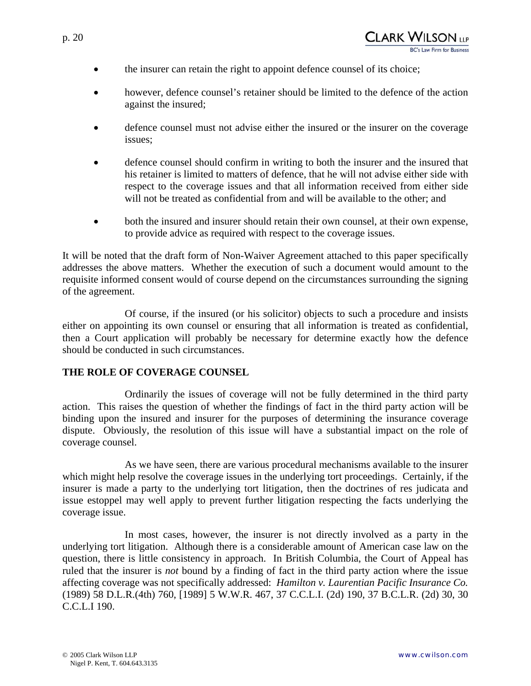- the insurer can retain the right to appoint defence counsel of its choice;
- however, defence counsel's retainer should be limited to the defence of the action against the insured;
- defence counsel must not advise either the insured or the insurer on the coverage issues;
- defence counsel should confirm in writing to both the insurer and the insured that his retainer is limited to matters of defence, that he will not advise either side with respect to the coverage issues and that all information received from either side will not be treated as confidential from and will be available to the other; and
- both the insured and insurer should retain their own counsel, at their own expense, to provide advice as required with respect to the coverage issues.

It will be noted that the draft form of Non-Waiver Agreement attached to this paper specifically addresses the above matters. Whether the execution of such a document would amount to the requisite informed consent would of course depend on the circumstances surrounding the signing of the agreement.

Of course, if the insured (or his solicitor) objects to such a procedure and insists either on appointing its own counsel or ensuring that all information is treated as confidential, then a Court application will probably be necessary for determine exactly how the defence should be conducted in such circumstances.

## **THE ROLE OF COVERAGE COUNSEL**

Ordinarily the issues of coverage will not be fully determined in the third party action. This raises the question of whether the findings of fact in the third party action will be binding upon the insured and insurer for the purposes of determining the insurance coverage dispute. Obviously, the resolution of this issue will have a substantial impact on the role of coverage counsel.

As we have seen, there are various procedural mechanisms available to the insurer which might help resolve the coverage issues in the underlying tort proceedings. Certainly, if the insurer is made a party to the underlying tort litigation, then the doctrines of res judicata and issue estoppel may well apply to prevent further litigation respecting the facts underlying the coverage issue.

In most cases, however, the insurer is not directly involved as a party in the underlying tort litigation. Although there is a considerable amount of American case law on the question, there is little consistency in approach. In British Columbia, the Court of Appeal has ruled that the insurer is *not* bound by a finding of fact in the third party action where the issue affecting coverage was not specifically addressed: *Hamilton v. Laurentian Pacific Insurance Co.* (1989) 58 D.L.R.(4th) 760, [1989] 5 W.W.R. 467, 37 C.C.L.I. (2d) 190, 37 B.C.L.R. (2d) 30, 30 C.C.L.I 190.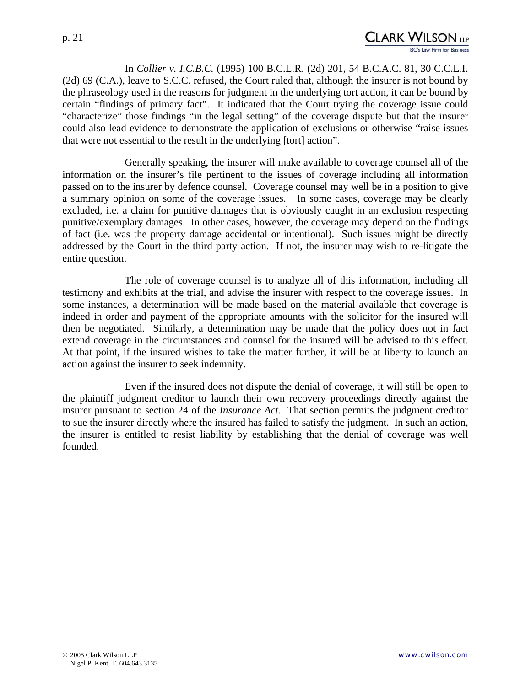# CLARK WILSON <sub>LP</sub>

 In *Collier v. I.C.B.C.* (1995) 100 B.C.L.R. (2d) 201, 54 B.C.A.C. 81, 30 C.C.L.I. (2d) 69 (C.A.), leave to S.C.C. refused, the Court ruled that, although the insurer is not bound by the phraseology used in the reasons for judgment in the underlying tort action, it can be bound by certain "findings of primary fact". It indicated that the Court trying the coverage issue could "characterize" those findings "in the legal setting" of the coverage dispute but that the insurer could also lead evidence to demonstrate the application of exclusions or otherwise "raise issues that were not essential to the result in the underlying [tort] action".

Generally speaking, the insurer will make available to coverage counsel all of the information on the insurer's file pertinent to the issues of coverage including all information passed on to the insurer by defence counsel. Coverage counsel may well be in a position to give a summary opinion on some of the coverage issues. In some cases, coverage may be clearly excluded, i.e. a claim for punitive damages that is obviously caught in an exclusion respecting punitive/exemplary damages. In other cases, however, the coverage may depend on the findings of fact (i.e. was the property damage accidental or intentional). Such issues might be directly addressed by the Court in the third party action. If not, the insurer may wish to re-litigate the entire question.

The role of coverage counsel is to analyze all of this information, including all testimony and exhibits at the trial, and advise the insurer with respect to the coverage issues. In some instances, a determination will be made based on the material available that coverage is indeed in order and payment of the appropriate amounts with the solicitor for the insured will then be negotiated. Similarly, a determination may be made that the policy does not in fact extend coverage in the circumstances and counsel for the insured will be advised to this effect. At that point, if the insured wishes to take the matter further, it will be at liberty to launch an action against the insurer to seek indemnity.

Even if the insured does not dispute the denial of coverage, it will still be open to the plaintiff judgment creditor to launch their own recovery proceedings directly against the insurer pursuant to section 24 of the *Insurance Act*. That section permits the judgment creditor to sue the insurer directly where the insured has failed to satisfy the judgment. In such an action, the insurer is entitled to resist liability by establishing that the denial of coverage was well founded.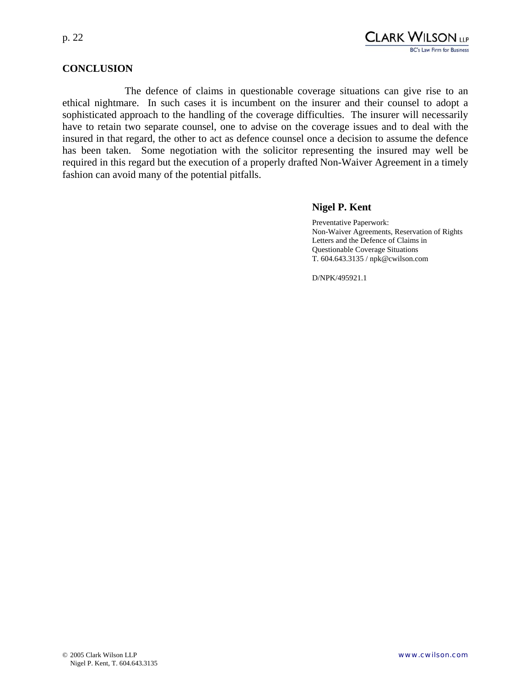

#### **CONCLUSION**

The defence of claims in questionable coverage situations can give rise to an ethical nightmare. In such cases it is incumbent on the insurer and their counsel to adopt a sophisticated approach to the handling of the coverage difficulties. The insurer will necessarily have to retain two separate counsel, one to advise on the coverage issues and to deal with the insured in that regard, the other to act as defence counsel once a decision to assume the defence has been taken. Some negotiation with the solicitor representing the insured may well be required in this regard but the execution of a properly drafted Non-Waiver Agreement in a timely fashion can avoid many of the potential pitfalls.

#### **Nigel P. Kent**

Preventative Paperwork: Non-Waiver Agreements, Reservation of Rights Letters and the Defence of Claims in Questionable Coverage Situations T. 604.643.3135 / npk@cwilson.com

D/NPK/495921.1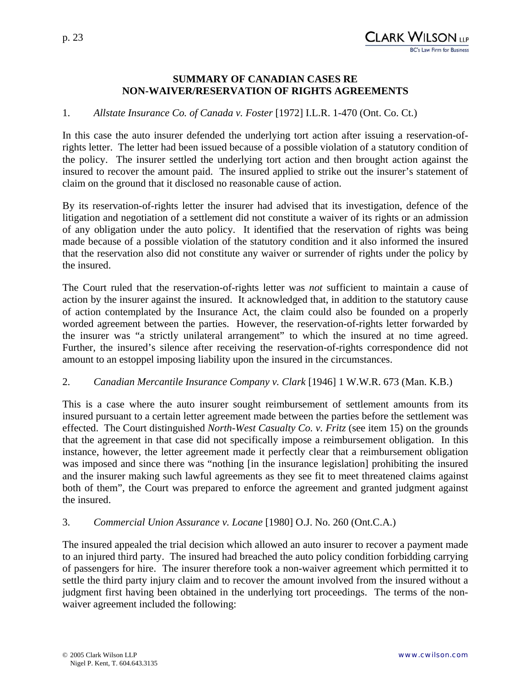#### **SUMMARY OF CANADIAN CASES RE NON-WAIVER/RESERVATION OF RIGHTS AGREEMENTS**

#### 1. *Allstate Insurance Co. of Canada v. Foster* [1972] I.L.R. 1-470 (Ont. Co. Ct.)

In this case the auto insurer defended the underlying tort action after issuing a reservation-ofrights letter. The letter had been issued because of a possible violation of a statutory condition of the policy. The insurer settled the underlying tort action and then brought action against the insured to recover the amount paid. The insured applied to strike out the insurer's statement of claim on the ground that it disclosed no reasonable cause of action.

By its reservation-of-rights letter the insurer had advised that its investigation, defence of the litigation and negotiation of a settlement did not constitute a waiver of its rights or an admission of any obligation under the auto policy. It identified that the reservation of rights was being made because of a possible violation of the statutory condition and it also informed the insured that the reservation also did not constitute any waiver or surrender of rights under the policy by the insured.

The Court ruled that the reservation-of-rights letter was *not* sufficient to maintain a cause of action by the insurer against the insured. It acknowledged that, in addition to the statutory cause of action contemplated by the Insurance Act, the claim could also be founded on a properly worded agreement between the parties. However, the reservation-of-rights letter forwarded by the insurer was "a strictly unilateral arrangement" to which the insured at no time agreed. Further, the insured's silence after receiving the reservation-of-rights correspondence did not amount to an estoppel imposing liability upon the insured in the circumstances.

#### 2. *Canadian Mercantile Insurance Company v. Clark* [1946] 1 W.W.R. 673 (Man. K.B.)

This is a case where the auto insurer sought reimbursement of settlement amounts from its insured pursuant to a certain letter agreement made between the parties before the settlement was effected. The Court distinguished *North-West Casualty Co. v. Fritz* (see item 15) on the grounds that the agreement in that case did not specifically impose a reimbursement obligation. In this instance, however, the letter agreement made it perfectly clear that a reimbursement obligation was imposed and since there was "nothing [in the insurance legislation] prohibiting the insured and the insurer making such lawful agreements as they see fit to meet threatened claims against both of them", the Court was prepared to enforce the agreement and granted judgment against the insured.

#### 3. *Commercial Union Assurance v. Locane* [1980] O.J. No. 260 (Ont.C.A.)

The insured appealed the trial decision which allowed an auto insurer to recover a payment made to an injured third party. The insured had breached the auto policy condition forbidding carrying of passengers for hire. The insurer therefore took a non-waiver agreement which permitted it to settle the third party injury claim and to recover the amount involved from the insured without a judgment first having been obtained in the underlying tort proceedings. The terms of the nonwaiver agreement included the following: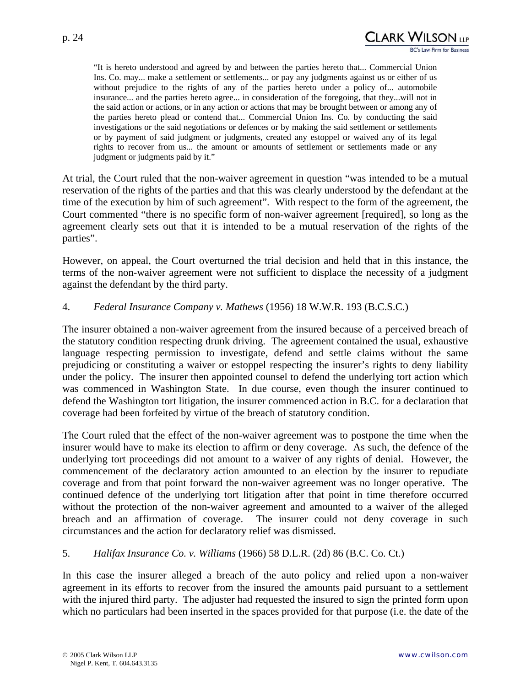

"It is hereto understood and agreed by and between the parties hereto that... Commercial Union Ins. Co. may... make a settlement or settlements... or pay any judgments against us or either of us without prejudice to the rights of any of the parties hereto under a policy of... automobile insurance... and the parties hereto agree... in consideration of the foregoing, that they...will not in the said action or actions, or in any action or actions that may be brought between or among any of the parties hereto plead or contend that... Commercial Union Ins. Co. by conducting the said investigations or the said negotiations or defences or by making the said settlement or settlements or by payment of said judgment or judgments, created any estoppel or waived any of its legal rights to recover from us... the amount or amounts of settlement or settlements made or any judgment or judgments paid by it."

At trial, the Court ruled that the non-waiver agreement in question "was intended to be a mutual reservation of the rights of the parties and that this was clearly understood by the defendant at the time of the execution by him of such agreement". With respect to the form of the agreement, the Court commented "there is no specific form of non-waiver agreement [required], so long as the agreement clearly sets out that it is intended to be a mutual reservation of the rights of the parties".

However, on appeal, the Court overturned the trial decision and held that in this instance, the terms of the non-waiver agreement were not sufficient to displace the necessity of a judgment against the defendant by the third party.

## 4. *Federal Insurance Company v. Mathews* (1956) 18 W.W.R. 193 (B.C.S.C.)

The insurer obtained a non-waiver agreement from the insured because of a perceived breach of the statutory condition respecting drunk driving. The agreement contained the usual, exhaustive language respecting permission to investigate, defend and settle claims without the same prejudicing or constituting a waiver or estoppel respecting the insurer's rights to deny liability under the policy. The insurer then appointed counsel to defend the underlying tort action which was commenced in Washington State. In due course, even though the insurer continued to defend the Washington tort litigation, the insurer commenced action in B.C. for a declaration that coverage had been forfeited by virtue of the breach of statutory condition.

The Court ruled that the effect of the non-waiver agreement was to postpone the time when the insurer would have to make its election to affirm or deny coverage. As such, the defence of the underlying tort proceedings did not amount to a waiver of any rights of denial. However, the commencement of the declaratory action amounted to an election by the insurer to repudiate coverage and from that point forward the non-waiver agreement was no longer operative. The continued defence of the underlying tort litigation after that point in time therefore occurred without the protection of the non-waiver agreement and amounted to a waiver of the alleged breach and an affirmation of coverage. The insurer could not deny coverage in such circumstances and the action for declaratory relief was dismissed.

#### 5. *Halifax Insurance Co. v. Williams* (1966) 58 D.L.R. (2d) 86 (B.C. Co. Ct.)

In this case the insurer alleged a breach of the auto policy and relied upon a non-waiver agreement in its efforts to recover from the insured the amounts paid pursuant to a settlement with the injured third party. The adjuster had requested the insured to sign the printed form upon which no particulars had been inserted in the spaces provided for that purpose (i.e. the date of the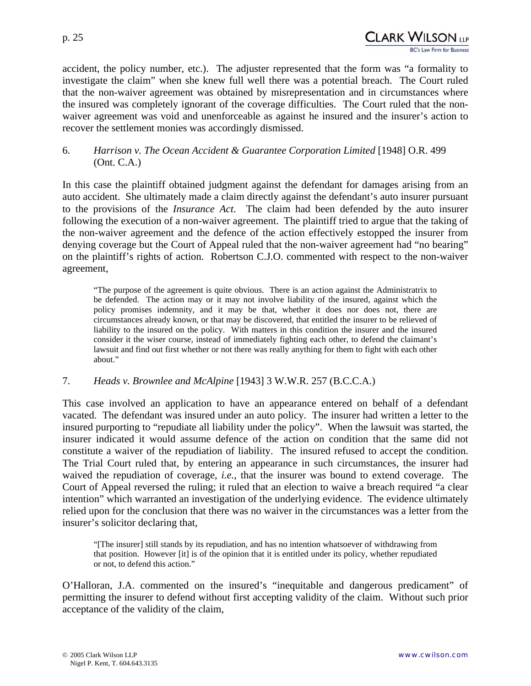p. 25

accident, the policy number, etc.). The adjuster represented that the form was "a formality to investigate the claim" when she knew full well there was a potential breach. The Court ruled that the non-waiver agreement was obtained by misrepresentation and in circumstances where the insured was completely ignorant of the coverage difficulties. The Court ruled that the nonwaiver agreement was void and unenforceable as against he insured and the insurer's action to recover the settlement monies was accordingly dismissed.

6. *Harrison v. The Ocean Accident & Guarantee Corporation Limited* [1948] O.R. 499 (Ont. C.A.)

In this case the plaintiff obtained judgment against the defendant for damages arising from an auto accident. She ultimately made a claim directly against the defendant's auto insurer pursuant to the provisions of the *Insurance Act*. The claim had been defended by the auto insurer following the execution of a non-waiver agreement. The plaintiff tried to argue that the taking of the non-waiver agreement and the defence of the action effectively estopped the insurer from denying coverage but the Court of Appeal ruled that the non-waiver agreement had "no bearing" on the plaintiff's rights of action. Robertson C.J.O. commented with respect to the non-waiver agreement,

"The purpose of the agreement is quite obvious. There is an action against the Administratrix to be defended. The action may or it may not involve liability of the insured, against which the policy promises indemnity, and it may be that, whether it does nor does not, there are circumstances already known, or that may be discovered, that entitled the insurer to be relieved of liability to the insured on the policy. With matters in this condition the insurer and the insured consider it the wiser course, instead of immediately fighting each other, to defend the claimant's lawsuit and find out first whether or not there was really anything for them to fight with each other about."

## 7. *Heads v. Brownlee and McAlpine* [1943] 3 W.W.R. 257 (B.C.C.A.)

This case involved an application to have an appearance entered on behalf of a defendant vacated. The defendant was insured under an auto policy. The insurer had written a letter to the insured purporting to "repudiate all liability under the policy". When the lawsuit was started, the insurer indicated it would assume defence of the action on condition that the same did not constitute a waiver of the repudiation of liability. The insured refused to accept the condition. The Trial Court ruled that, by entering an appearance in such circumstances, the insurer had waived the repudiation of coverage, *i.e.*, that the insurer was bound to extend coverage. The Court of Appeal reversed the ruling; it ruled that an election to waive a breach required "a clear intention" which warranted an investigation of the underlying evidence. The evidence ultimately relied upon for the conclusion that there was no waiver in the circumstances was a letter from the insurer's solicitor declaring that,

"[The insurer] still stands by its repudiation, and has no intention whatsoever of withdrawing from that position. However [it] is of the opinion that it is entitled under its policy, whether repudiated or not, to defend this action."

O'Halloran, J.A. commented on the insured's "inequitable and dangerous predicament" of permitting the insurer to defend without first accepting validity of the claim. Without such prior acceptance of the validity of the claim,

CLARK WILSON <sub>llp</sub>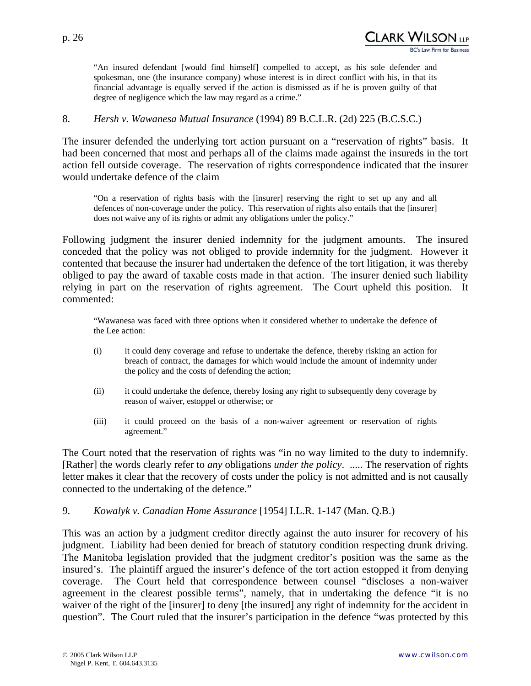"An insured defendant [would find himself] compelled to accept, as his sole defender and spokesman, one (the insurance company) whose interest is in direct conflict with his, in that its financial advantage is equally served if the action is dismissed as if he is proven guilty of that degree of negligence which the law may regard as a crime."

## 8. *Hersh v. Wawanesa Mutual Insurance* (1994) 89 B.C.L.R. (2d) 225 (B.C.S.C.)

The insurer defended the underlying tort action pursuant on a "reservation of rights" basis. It had been concerned that most and perhaps all of the claims made against the insureds in the tort action fell outside coverage. The reservation of rights correspondence indicated that the insurer would undertake defence of the claim

"On a reservation of rights basis with the [insurer] reserving the right to set up any and all defences of non-coverage under the policy. This reservation of rights also entails that the [insurer] does not waive any of its rights or admit any obligations under the policy."

Following judgment the insurer denied indemnity for the judgment amounts. The insured conceded that the policy was not obliged to provide indemnity for the judgment. However it contented that because the insurer had undertaken the defence of the tort litigation, it was thereby obliged to pay the award of taxable costs made in that action. The insurer denied such liability relying in part on the reservation of rights agreement. The Court upheld this position. It commented:

"Wawanesa was faced with three options when it considered whether to undertake the defence of the Lee action:

- (i) it could deny coverage and refuse to undertake the defence, thereby risking an action for breach of contract, the damages for which would include the amount of indemnity under the policy and the costs of defending the action;
- (ii) it could undertake the defence, thereby losing any right to subsequently deny coverage by reason of waiver, estoppel or otherwise; or
- (iii) it could proceed on the basis of a non-waiver agreement or reservation of rights agreement."

The Court noted that the reservation of rights was "in no way limited to the duty to indemnify. [Rather] the words clearly refer to *any* obligations *under the policy*. ..... The reservation of rights letter makes it clear that the recovery of costs under the policy is not admitted and is not causally connected to the undertaking of the defence."

#### 9. *Kowalyk v. Canadian Home Assurance* [1954] I.L.R. 1-147 (Man. Q.B.)

This was an action by a judgment creditor directly against the auto insurer for recovery of his judgment. Liability had been denied for breach of statutory condition respecting drunk driving. The Manitoba legislation provided that the judgment creditor's position was the same as the insured's. The plaintiff argued the insurer's defence of the tort action estopped it from denying coverage. The Court held that correspondence between counsel "discloses a non-waiver agreement in the clearest possible terms", namely, that in undertaking the defence "it is no waiver of the right of the [insurer] to deny [the insured] any right of indemnity for the accident in question". The Court ruled that the insurer's participation in the defence "was protected by this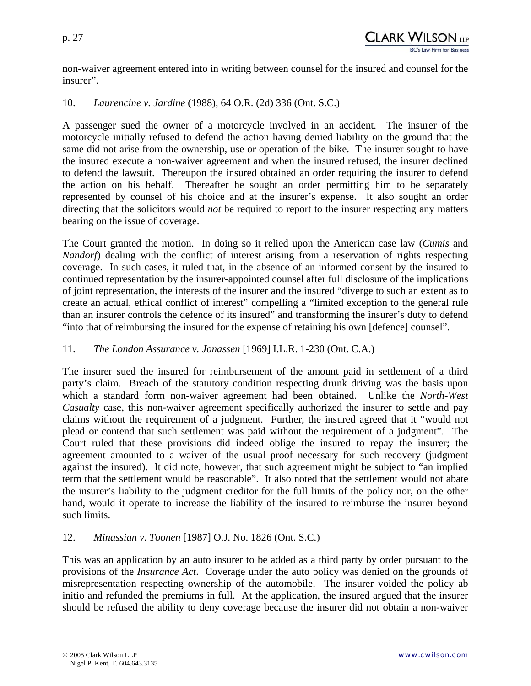non-waiver agreement entered into in writing between counsel for the insured and counsel for the insurer".

#### 10. *Laurencine v. Jardine* (1988), 64 O.R. (2d) 336 (Ont. S.C.)

A passenger sued the owner of a motorcycle involved in an accident. The insurer of the motorcycle initially refused to defend the action having denied liability on the ground that the same did not arise from the ownership, use or operation of the bike. The insurer sought to have the insured execute a non-waiver agreement and when the insured refused, the insurer declined to defend the lawsuit. Thereupon the insured obtained an order requiring the insurer to defend the action on his behalf. Thereafter he sought an order permitting him to be separately represented by counsel of his choice and at the insurer's expense. It also sought an order directing that the solicitors would *not* be required to report to the insurer respecting any matters bearing on the issue of coverage.

The Court granted the motion. In doing so it relied upon the American case law (*Cumis* and *Nandorf*) dealing with the conflict of interest arising from a reservation of rights respecting coverage. In such cases, it ruled that, in the absence of an informed consent by the insured to continued representation by the insurer-appointed counsel after full disclosure of the implications of joint representation, the interests of the insurer and the insured "diverge to such an extent as to create an actual, ethical conflict of interest" compelling a "limited exception to the general rule than an insurer controls the defence of its insured" and transforming the insurer's duty to defend "into that of reimbursing the insured for the expense of retaining his own [defence] counsel".

## 11. *The London Assurance v. Jonassen* [1969] I.L.R. 1-230 (Ont. C.A.)

The insurer sued the insured for reimbursement of the amount paid in settlement of a third party's claim. Breach of the statutory condition respecting drunk driving was the basis upon which a standard form non-waiver agreement had been obtained. Unlike the *North-West Casualty* case, this non-waiver agreement specifically authorized the insurer to settle and pay claims without the requirement of a judgment. Further, the insured agreed that it "would not plead or contend that such settlement was paid without the requirement of a judgment". The Court ruled that these provisions did indeed oblige the insured to repay the insurer; the agreement amounted to a waiver of the usual proof necessary for such recovery (judgment against the insured). It did note, however, that such agreement might be subject to "an implied term that the settlement would be reasonable". It also noted that the settlement would not abate the insurer's liability to the judgment creditor for the full limits of the policy nor, on the other hand, would it operate to increase the liability of the insured to reimburse the insurer beyond such limits.

#### 12. *Minassian v. Toonen* [1987] O.J. No. 1826 (Ont. S.C.)

This was an application by an auto insurer to be added as a third party by order pursuant to the provisions of the *Insurance Act*. Coverage under the auto policy was denied on the grounds of misrepresentation respecting ownership of the automobile. The insurer voided the policy ab initio and refunded the premiums in full. At the application, the insured argued that the insurer should be refused the ability to deny coverage because the insurer did not obtain a non-waiver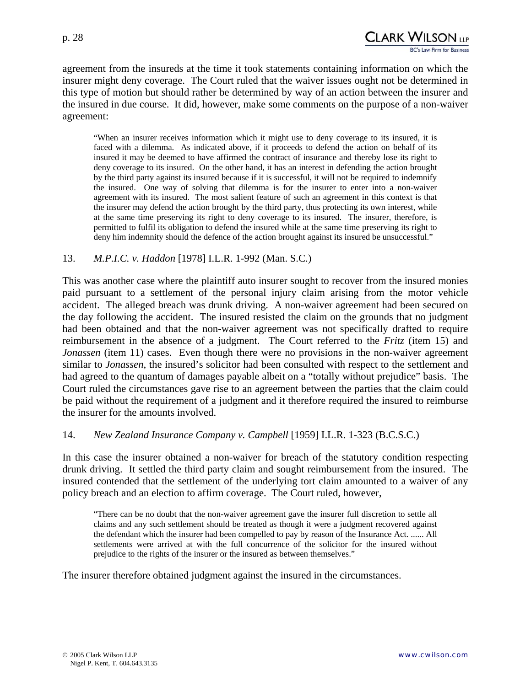

agreement from the insureds at the time it took statements containing information on which the insurer might deny coverage. The Court ruled that the waiver issues ought not be determined in this type of motion but should rather be determined by way of an action between the insurer and the insured in due course. It did, however, make some comments on the purpose of a non-waiver agreement:

"When an insurer receives information which it might use to deny coverage to its insured, it is faced with a dilemma. As indicated above, if it proceeds to defend the action on behalf of its insured it may be deemed to have affirmed the contract of insurance and thereby lose its right to deny coverage to its insured. On the other hand, it has an interest in defending the action brought by the third party against its insured because if it is successful, it will not be required to indemnify the insured. One way of solving that dilemma is for the insurer to enter into a non-waiver agreement with its insured. The most salient feature of such an agreement in this context is that the insurer may defend the action brought by the third party, thus protecting its own interest, while at the same time preserving its right to deny coverage to its insured. The insurer, therefore, is permitted to fulfil its obligation to defend the insured while at the same time preserving its right to deny him indemnity should the defence of the action brought against its insured be unsuccessful."

#### 13. *M.P.I.C. v. Haddon* [1978] I.L.R. 1-992 (Man. S.C.)

This was another case where the plaintiff auto insurer sought to recover from the insured monies paid pursuant to a settlement of the personal injury claim arising from the motor vehicle accident. The alleged breach was drunk driving. A non-waiver agreement had been secured on the day following the accident. The insured resisted the claim on the grounds that no judgment had been obtained and that the non-waiver agreement was not specifically drafted to require reimbursement in the absence of a judgment. The Court referred to the *Fritz* (item 15) and *Jonassen* (item 11) cases. Even though there were no provisions in the non-waiver agreement similar to *Jonassen*, the insured's solicitor had been consulted with respect to the settlement and had agreed to the quantum of damages payable albeit on a "totally without prejudice" basis. The Court ruled the circumstances gave rise to an agreement between the parties that the claim could be paid without the requirement of a judgment and it therefore required the insured to reimburse the insurer for the amounts involved.

#### 14. *New Zealand Insurance Company v. Campbell* [1959] I.L.R. 1-323 (B.C.S.C.)

In this case the insurer obtained a non-waiver for breach of the statutory condition respecting drunk driving. It settled the third party claim and sought reimbursement from the insured. The insured contended that the settlement of the underlying tort claim amounted to a waiver of any policy breach and an election to affirm coverage. The Court ruled, however,

"There can be no doubt that the non-waiver agreement gave the insurer full discretion to settle all claims and any such settlement should be treated as though it were a judgment recovered against the defendant which the insurer had been compelled to pay by reason of the Insurance Act. ...... All settlements were arrived at with the full concurrence of the solicitor for the insured without prejudice to the rights of the insurer or the insured as between themselves."

The insurer therefore obtained judgment against the insured in the circumstances.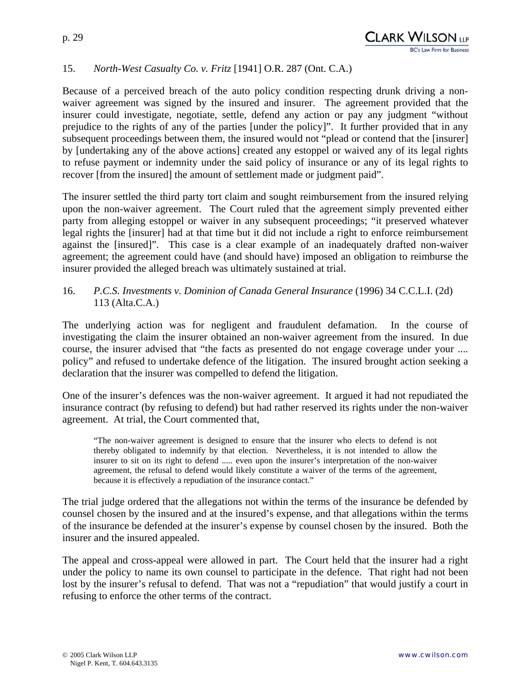## 15. *North-West Casualty Co. v. Fritz* [1941] O.R. 287 (Ont. C.A.)

Because of a perceived breach of the auto policy condition respecting drunk driving a nonwaiver agreement was signed by the insured and insurer. The agreement provided that the insurer could investigate, negotiate, settle, defend any action or pay any judgment "without prejudice to the rights of any of the parties [under the policy]". It further provided that in any subsequent proceedings between them, the insured would not "plead or contend that the [insurer] by [undertaking any of the above actions] created any estoppel or waived any of its legal rights to refuse payment or indemnity under the said policy of insurance or any of its legal rights to recover [from the insured] the amount of settlement made or judgment paid".

The insurer settled the third party tort claim and sought reimbursement from the insured relying upon the non-waiver agreement. The Court ruled that the agreement simply prevented either party from alleging estoppel or waiver in any subsequent proceedings; "it preserved whatever legal rights the [insurer] had at that time but it did not include a right to enforce reimbursement against the [insured]". This case is a clear example of an inadequately drafted non-waiver agreement; the agreement could have (and should have) imposed an obligation to reimburse the insurer provided the alleged breach was ultimately sustained at trial.

## 16. *P.C.S. Investments v. Dominion of Canada General Insurance* (1996) 34 C.C.L.I. (2d) 113 (Alta.C.A.)

The underlying action was for negligent and fraudulent defamation. In the course of investigating the claim the insurer obtained an non-waiver agreement from the insured. In due course, the insurer advised that "the facts as presented do not engage coverage under your .... policy" and refused to undertake defence of the litigation. The insured brought action seeking a declaration that the insurer was compelled to defend the litigation.

One of the insurer's defences was the non-waiver agreement. It argued it had not repudiated the insurance contract (by refusing to defend) but had rather reserved its rights under the non-waiver agreement. At trial, the Court commented that,

"The non-waiver agreement is designed to ensure that the insurer who elects to defend is not thereby obligated to indemnify by that election. Nevertheless, it is not intended to allow the insurer to sit on its right to defend ..... even upon the insurer's interpretation of the non-waiver agreement, the refusal to defend would likely constitute a waiver of the terms of the agreement, because it is effectively a repudiation of the insurance contact."

The trial judge ordered that the allegations not within the terms of the insurance be defended by counsel chosen by the insured and at the insured's expense, and that allegations within the terms of the insurance be defended at the insurer's expense by counsel chosen by the insured. Both the insurer and the insured appealed.

The appeal and cross-appeal were allowed in part. The Court held that the insurer had a right under the policy to name its own counsel to participate in the defence. That right had not been lost by the insurer's refusal to defend. That was not a "repudiation" that would justify a court in refusing to enforce the other terms of the contract.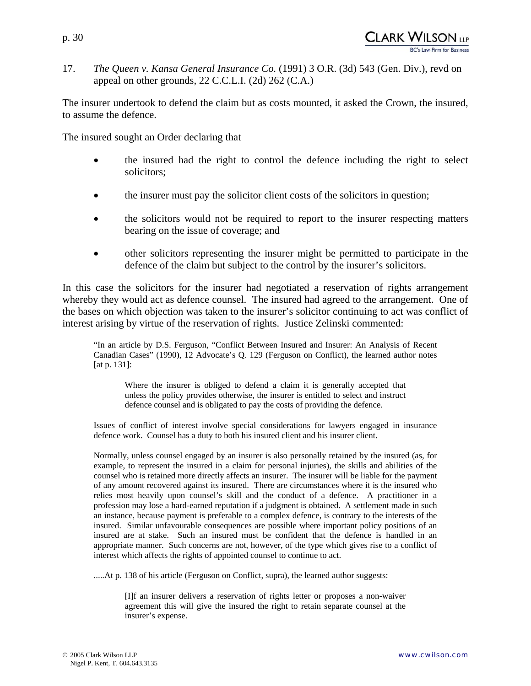17. *The Queen v. Kansa General Insurance Co.* (1991) 3 O.R. (3d) 543 (Gen. Div.), revd on appeal on other grounds, 22 C.C.L.I. (2d) 262 (C.A.)

The insurer undertook to defend the claim but as costs mounted, it asked the Crown, the insured, to assume the defence.

The insured sought an Order declaring that

- the insured had the right to control the defence including the right to select solicitors;
- the insurer must pay the solicitor client costs of the solicitors in question;
- the solicitors would not be required to report to the insurer respecting matters bearing on the issue of coverage; and
- other solicitors representing the insurer might be permitted to participate in the defence of the claim but subject to the control by the insurer's solicitors.

In this case the solicitors for the insurer had negotiated a reservation of rights arrangement whereby they would act as defence counsel. The insured had agreed to the arrangement. One of the bases on which objection was taken to the insurer's solicitor continuing to act was conflict of interest arising by virtue of the reservation of rights. Justice Zelinski commented:

"In an article by D.S. Ferguson, "Conflict Between Insured and Insurer: An Analysis of Recent Canadian Cases" (1990), 12 Advocate's Q. 129 (Ferguson on Conflict), the learned author notes [at p. 131]:

Where the insurer is obliged to defend a claim it is generally accepted that unless the policy provides otherwise, the insurer is entitled to select and instruct defence counsel and is obligated to pay the costs of providing the defence.

Issues of conflict of interest involve special considerations for lawyers engaged in insurance defence work. Counsel has a duty to both his insured client and his insurer client.

Normally, unless counsel engaged by an insurer is also personally retained by the insured (as, for example, to represent the insured in a claim for personal injuries), the skills and abilities of the counsel who is retained more directly affects an insurer. The insurer will be liable for the payment of any amount recovered against its insured. There are circumstances where it is the insured who relies most heavily upon counsel's skill and the conduct of a defence. A practitioner in a profession may lose a hard-earned reputation if a judgment is obtained. A settlement made in such an instance, because payment is preferable to a complex defence, is contrary to the interests of the insured. Similar unfavourable consequences are possible where important policy positions of an insured are at stake. Such an insured must be confident that the defence is handled in an appropriate manner. Such concerns are not, however, of the type which gives rise to a conflict of interest which affects the rights of appointed counsel to continue to act.

.....At p. 138 of his article (Ferguson on Conflict, supra), the learned author suggests:

[I]f an insurer delivers a reservation of rights letter or proposes a non-waiver agreement this will give the insured the right to retain separate counsel at the insurer's expense.

CLARK WILSON (1P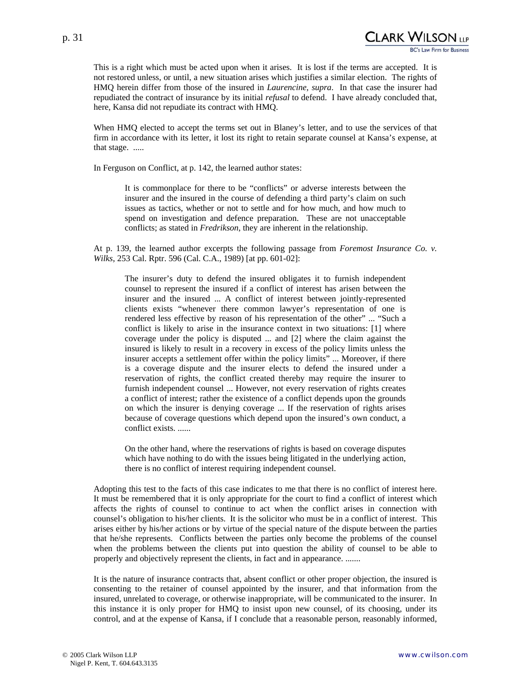This is a right which must be acted upon when it arises. It is lost if the terms are accepted. It is not restored unless, or until, a new situation arises which justifies a similar election. The rights of HMQ herein differ from those of the insured in *Laurencine, supra*. In that case the insurer had repudiated the contract of insurance by its initial *refusal* to defend. I have already concluded that, here, Kansa did not repudiate its contract with HMQ.

When HMQ elected to accept the terms set out in Blaney's letter, and to use the services of that firm in accordance with its letter, it lost its right to retain separate counsel at Kansa's expense, at that stage. .....

In Ferguson on Conflict, at p. 142, the learned author states:

It is commonplace for there to be "conflicts" or adverse interests between the insurer and the insured in the course of defending a third party's claim on such issues as tactics, whether or not to settle and for how much, and how much to spend on investigation and defence preparation. These are not unacceptable conflicts; as stated in *Fredrikson*, they are inherent in the relationship.

At p. 139, the learned author excerpts the following passage from *Foremost Insurance Co. v. Wilks*, 253 Cal. Rptr. 596 (Cal. C.A., 1989) [at pp. 601-02]:

The insurer's duty to defend the insured obligates it to furnish independent counsel to represent the insured if a conflict of interest has arisen between the insurer and the insured ... A conflict of interest between jointly-represented clients exists "whenever there common lawyer's representation of one is rendered less effective by reason of his representation of the other" ... "Such a conflict is likely to arise in the insurance context in two situations: [1] where coverage under the policy is disputed ... and [2] where the claim against the insured is likely to result in a recovery in excess of the policy limits unless the insurer accepts a settlement offer within the policy limits" ... Moreover, if there is a coverage dispute and the insurer elects to defend the insured under a reservation of rights, the conflict created thereby may require the insurer to furnish independent counsel ... However, not every reservation of rights creates a conflict of interest; rather the existence of a conflict depends upon the grounds on which the insurer is denying coverage ... If the reservation of rights arises because of coverage questions which depend upon the insured's own conduct, a conflict exists. ......

On the other hand, where the reservations of rights is based on coverage disputes which have nothing to do with the issues being litigated in the underlying action, there is no conflict of interest requiring independent counsel.

Adopting this test to the facts of this case indicates to me that there is no conflict of interest here. It must be remembered that it is only appropriate for the court to find a conflict of interest which affects the rights of counsel to continue to act when the conflict arises in connection with counsel's obligation to his/her clients. It is the solicitor who must be in a conflict of interest. This arises either by his/her actions or by virtue of the special nature of the dispute between the parties that he/she represents. Conflicts between the parties only become the problems of the counsel when the problems between the clients put into question the ability of counsel to be able to properly and objectively represent the clients, in fact and in appearance. .......

It is the nature of insurance contracts that, absent conflict or other proper objection, the insured is consenting to the retainer of counsel appointed by the insurer, and that information from the insured, unrelated to coverage, or otherwise inappropriate, will be communicated to the insurer. In this instance it is only proper for HMQ to insist upon new counsel, of its choosing, under its control, and at the expense of Kansa, if I conclude that a reasonable person, reasonably informed,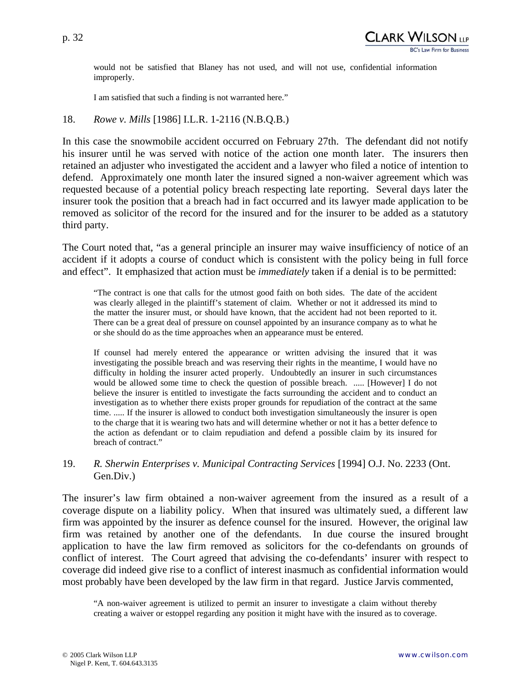would not be satisfied that Blaney has not used, and will not use, confidential information improperly.

I am satisfied that such a finding is not warranted here."

#### 18. *Rowe v. Mills* [1986] I.L.R. 1-2116 (N.B.Q.B.)

In this case the snowmobile accident occurred on February 27th. The defendant did not notify his insurer until he was served with notice of the action one month later. The insurers then retained an adjuster who investigated the accident and a lawyer who filed a notice of intention to defend. Approximately one month later the insured signed a non-waiver agreement which was requested because of a potential policy breach respecting late reporting. Several days later the insurer took the position that a breach had in fact occurred and its lawyer made application to be removed as solicitor of the record for the insured and for the insurer to be added as a statutory third party.

The Court noted that, "as a general principle an insurer may waive insufficiency of notice of an accident if it adopts a course of conduct which is consistent with the policy being in full force and effect". It emphasized that action must be *immediately* taken if a denial is to be permitted:

"The contract is one that calls for the utmost good faith on both sides. The date of the accident was clearly alleged in the plaintiff's statement of claim. Whether or not it addressed its mind to the matter the insurer must, or should have known, that the accident had not been reported to it. There can be a great deal of pressure on counsel appointed by an insurance company as to what he or she should do as the time approaches when an appearance must be entered.

If counsel had merely entered the appearance or written advising the insured that it was investigating the possible breach and was reserving their rights in the meantime, I would have no difficulty in holding the insurer acted properly. Undoubtedly an insurer in such circumstances would be allowed some time to check the question of possible breach. ..... [However] I do not believe the insurer is entitled to investigate the facts surrounding the accident and to conduct an investigation as to whether there exists proper grounds for repudiation of the contract at the same time. ..... If the insurer is allowed to conduct both investigation simultaneously the insurer is open to the charge that it is wearing two hats and will determine whether or not it has a better defence to the action as defendant or to claim repudiation and defend a possible claim by its insured for breach of contract."

#### 19. *R. Sherwin Enterprises v. Municipal Contracting Services* [1994] O.J. No. 2233 (Ont. Gen.Div.)

The insurer's law firm obtained a non-waiver agreement from the insured as a result of a coverage dispute on a liability policy. When that insured was ultimately sued, a different law firm was appointed by the insurer as defence counsel for the insured. However, the original law firm was retained by another one of the defendants. In due course the insured brought application to have the law firm removed as solicitors for the co-defendants on grounds of conflict of interest. The Court agreed that advising the co-defendants' insurer with respect to coverage did indeed give rise to a conflict of interest inasmuch as confidential information would most probably have been developed by the law firm in that regard. Justice Jarvis commented,

<sup>&</sup>quot;A non-waiver agreement is utilized to permit an insurer to investigate a claim without thereby creating a waiver or estoppel regarding any position it might have with the insured as to coverage.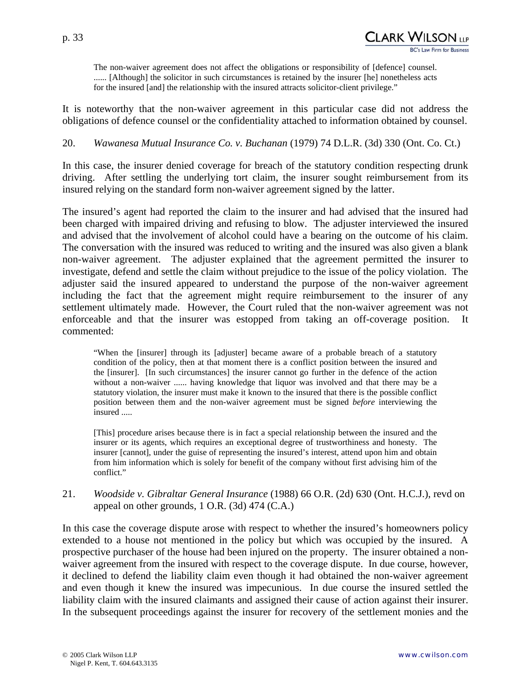p. 33

The non-waiver agreement does not affect the obligations or responsibility of [defence] counsel. ...... [Although] the solicitor in such circumstances is retained by the insurer [he] nonetheless acts for the insured [and] the relationship with the insured attracts solicitor-client privilege."

It is noteworthy that the non-waiver agreement in this particular case did not address the obligations of defence counsel or the confidentiality attached to information obtained by counsel.

20. *Wawanesa Mutual Insurance Co. v. Buchanan* (1979) 74 D.L.R. (3d) 330 (Ont. Co. Ct.)

In this case, the insurer denied coverage for breach of the statutory condition respecting drunk driving. After settling the underlying tort claim, the insurer sought reimbursement from its insured relying on the standard form non-waiver agreement signed by the latter.

The insured's agent had reported the claim to the insurer and had advised that the insured had been charged with impaired driving and refusing to blow. The adjuster interviewed the insured and advised that the involvement of alcohol could have a bearing on the outcome of his claim. The conversation with the insured was reduced to writing and the insured was also given a blank non-waiver agreement. The adjuster explained that the agreement permitted the insurer to investigate, defend and settle the claim without prejudice to the issue of the policy violation. The adjuster said the insured appeared to understand the purpose of the non-waiver agreement including the fact that the agreement might require reimbursement to the insurer of any settlement ultimately made. However, the Court ruled that the non-waiver agreement was not enforceable and that the insurer was estopped from taking an off-coverage position. It commented:

"When the [insurer] through its [adjuster] became aware of a probable breach of a statutory condition of the policy, then at that moment there is a conflict position between the insured and the [insurer]. [In such circumstances] the insurer cannot go further in the defence of the action without a non-waiver ...... having knowledge that liquor was involved and that there may be a statutory violation, the insurer must make it known to the insured that there is the possible conflict position between them and the non-waiver agreement must be signed *before* interviewing the insured .....

[This] procedure arises because there is in fact a special relationship between the insured and the insurer or its agents, which requires an exceptional degree of trustworthiness and honesty. The insurer [cannot], under the guise of representing the insured's interest, attend upon him and obtain from him information which is solely for benefit of the company without first advising him of the conflict."

21. *Woodside v. Gibraltar General Insurance* (1988) 66 O.R. (2d) 630 (Ont. H.C.J.), revd on appeal on other grounds, 1 O.R. (3d) 474 (C.A.)

In this case the coverage dispute arose with respect to whether the insured's homeowners policy extended to a house not mentioned in the policy but which was occupied by the insured. A prospective purchaser of the house had been injured on the property. The insurer obtained a nonwaiver agreement from the insured with respect to the coverage dispute. In due course, however, it declined to defend the liability claim even though it had obtained the non-waiver agreement and even though it knew the insured was impecunious. In due course the insured settled the liability claim with the insured claimants and assigned their cause of action against their insurer. In the subsequent proceedings against the insurer for recovery of the settlement monies and the

CLARK WILSON (1.p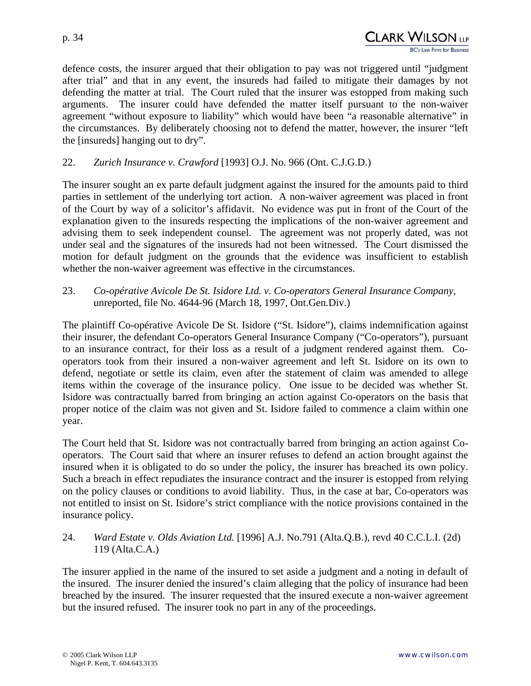defence costs, the insurer argued that their obligation to pay was not triggered until "judgment after trial" and that in any event, the insureds had failed to mitigate their damages by not defending the matter at trial. The Court ruled that the insurer was estopped from making such arguments. The insurer could have defended the matter itself pursuant to the non-waiver agreement "without exposure to liability" which would have been "a reasonable alternative" in the circumstances. By deliberately choosing not to defend the matter, however, the insurer "left the [insureds] hanging out to dry".

#### 22. *Zurich Insurance v. Crawford* [1993] O.J. No. 966 (Ont. C.J.G.D.)

The insurer sought an ex parte default judgment against the insured for the amounts paid to third parties in settlement of the underlying tort action. A non-waiver agreement was placed in front of the Court by way of a solicitor's affidavit. No evidence was put in front of the Court of the explanation given to the insureds respecting the implications of the non-waiver agreement and advising them to seek independent counsel. The agreement was not properly dated, was not under seal and the signatures of the insureds had not been witnessed. The Court dismissed the motion for default judgment on the grounds that the evidence was insufficient to establish whether the non-waiver agreement was effective in the circumstances.

23. *Co-opérative Avicole De St. Isidore Ltd. v. Co-operators General Insurance Company*, unreported, file No. 4644-96 (March 18, 1997, Ont.Gen.Div.)

The plaintiff Co-opérative Avicole De St. Isidore ("St. Isidore"), claims indemnification against their insurer, the defendant Co-operators General Insurance Company ("Co-operators"), pursuant to an insurance contract, for their loss as a result of a judgment rendered against them. Cooperators took from their insured a non-waiver agreement and left St. Isidore on its own to defend, negotiate or settle its claim, even after the statement of claim was amended to allege items within the coverage of the insurance policy. One issue to be decided was whether St. Isidore was contractually barred from bringing an action against Co-operators on the basis that proper notice of the claim was not given and St. Isidore failed to commence a claim within one year.

The Court held that St. Isidore was not contractually barred from bringing an action against Cooperators. The Court said that where an insurer refuses to defend an action brought against the insured when it is obligated to do so under the policy, the insurer has breached its own policy. Such a breach in effect repudiates the insurance contract and the insurer is estopped from relying on the policy clauses or conditions to avoid liability. Thus, in the case at bar, Co-operators was not entitled to insist on St. Isidore's strict compliance with the notice provisions contained in the insurance policy.

#### 24. *Ward Estate v. Olds Aviation Ltd.* [1996] A.J. No.791 (Alta.Q.B.), revd 40 C.C.L.I. (2d) 119 (Alta.C.A.)

The insurer applied in the name of the insured to set aside a judgment and a noting in default of the insured. The insurer denied the insured's claim alleging that the policy of insurance had been breached by the insured. The insurer requested that the insured execute a non-waiver agreement but the insured refused. The insurer took no part in any of the proceedings.

CLARK WILSON <sub>llp</sub>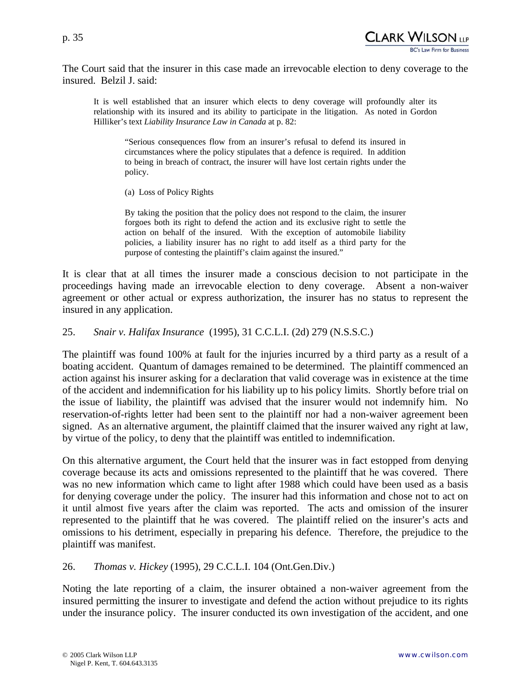The Court said that the insurer in this case made an irrevocable election to deny coverage to the insured. Belzil J. said:

It is well established that an insurer which elects to deny coverage will profoundly alter its relationship with its insured and its ability to participate in the litigation. As noted in Gordon Hilliker's text *Liability Insurance Law in Canada* at p. 82:

"Serious consequences flow from an insurer's refusal to defend its insured in circumstances where the policy stipulates that a defence is required. In addition to being in breach of contract, the insurer will have lost certain rights under the policy.

(a) Loss of Policy Rights

By taking the position that the policy does not respond to the claim, the insurer forgoes both its right to defend the action and its exclusive right to settle the action on behalf of the insured. With the exception of automobile liability policies, a liability insurer has no right to add itself as a third party for the purpose of contesting the plaintiff's claim against the insured."

It is clear that at all times the insurer made a conscious decision to not participate in the proceedings having made an irrevocable election to deny coverage. Absent a non-waiver agreement or other actual or express authorization, the insurer has no status to represent the insured in any application.

#### 25. *Snair v. Halifax Insurance* (1995), 31 C.C.L.I. (2d) 279 (N.S.S.C.)

The plaintiff was found 100% at fault for the injuries incurred by a third party as a result of a boating accident. Quantum of damages remained to be determined. The plaintiff commenced an action against his insurer asking for a declaration that valid coverage was in existence at the time of the accident and indemnification for his liability up to his policy limits. Shortly before trial on the issue of liability, the plaintiff was advised that the insurer would not indemnify him. No reservation-of-rights letter had been sent to the plaintiff nor had a non-waiver agreement been signed. As an alternative argument, the plaintiff claimed that the insurer waived any right at law, by virtue of the policy, to deny that the plaintiff was entitled to indemnification.

On this alternative argument, the Court held that the insurer was in fact estopped from denying coverage because its acts and omissions represented to the plaintiff that he was covered. There was no new information which came to light after 1988 which could have been used as a basis for denying coverage under the policy. The insurer had this information and chose not to act on it until almost five years after the claim was reported. The acts and omission of the insurer represented to the plaintiff that he was covered. The plaintiff relied on the insurer's acts and omissions to his detriment, especially in preparing his defence. Therefore, the prejudice to the plaintiff was manifest.

26. *Thomas v. Hickey* (1995), 29 C.C.L.I. 104 (Ont.Gen.Div.)

Noting the late reporting of a claim, the insurer obtained a non-waiver agreement from the insured permitting the insurer to investigate and defend the action without prejudice to its rights under the insurance policy. The insurer conducted its own investigation of the accident, and one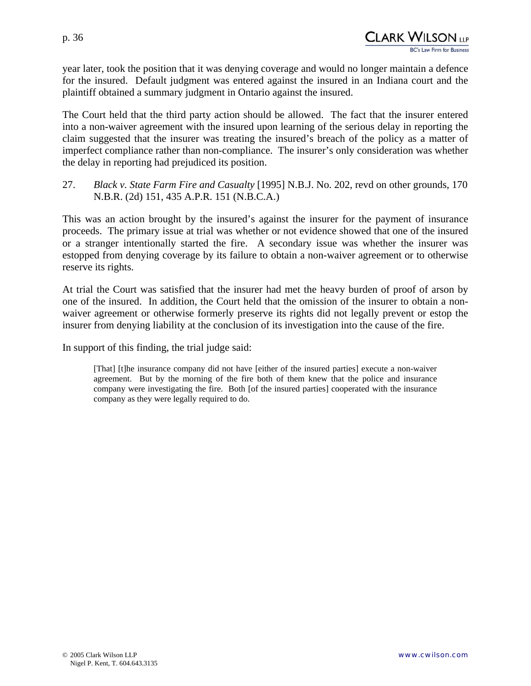year later, took the position that it was denying coverage and would no longer maintain a defence for the insured. Default judgment was entered against the insured in an Indiana court and the plaintiff obtained a summary judgment in Ontario against the insured.

The Court held that the third party action should be allowed. The fact that the insurer entered into a non-waiver agreement with the insured upon learning of the serious delay in reporting the claim suggested that the insurer was treating the insured's breach of the policy as a matter of imperfect compliance rather than non-compliance. The insurer's only consideration was whether the delay in reporting had prejudiced its position.

27. *Black v. State Farm Fire and Casualty* [1995] N.B.J. No. 202, revd on other grounds, 170 N.B.R. (2d) 151, 435 A.P.R. 151 (N.B.C.A.)

This was an action brought by the insured's against the insurer for the payment of insurance proceeds. The primary issue at trial was whether or not evidence showed that one of the insured or a stranger intentionally started the fire. A secondary issue was whether the insurer was estopped from denying coverage by its failure to obtain a non-waiver agreement or to otherwise reserve its rights.

At trial the Court was satisfied that the insurer had met the heavy burden of proof of arson by one of the insured. In addition, the Court held that the omission of the insurer to obtain a nonwaiver agreement or otherwise formerly preserve its rights did not legally prevent or estop the insurer from denying liability at the conclusion of its investigation into the cause of the fire.

In support of this finding, the trial judge said:

[That] [t]he insurance company did not have [either of the insured parties] execute a non-waiver agreement. But by the morning of the fire both of them knew that the police and insurance company were investigating the fire. Both [of the insured parties] cooperated with the insurance company as they were legally required to do.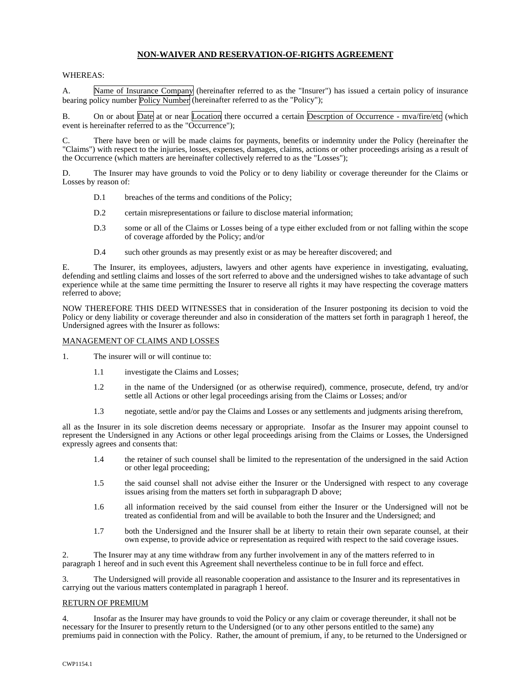#### **NON-WAIVER AND RESERVATION-OF-RIGHTS AGREEMENT**

#### WHEREAS:

A. Name of Insurance Company (hereinafter referred to as the "Insurer") has issued a certain policy of insurance bearing policy number Policy Number (hereinafter referred to as the "Policy");

B. On or about Date at or near Location there occurred a certain Descrption of Occurrence - mva/fire/etc (which event is hereinafter referred to as the "Occurrence");

There have been or will be made claims for payments, benefits or indemnity under the Policy (hereinafter the "Claims") with respect to the injuries, losses, expenses, damages, claims, actions or other proceedings arising as a result of the Occurrence (which matters are hereinafter collectively referred to as the "Losses");

D. The Insurer may have grounds to void the Policy or to deny liability or coverage thereunder for the Claims or Losses by reason of:

- D.1 breaches of the terms and conditions of the Policy;
- D.2 certain misrepresentations or failure to disclose material information;
- D.3 some or all of the Claims or Losses being of a type either excluded from or not falling within the scope of coverage afforded by the Policy; and/or
- D.4 such other grounds as may presently exist or as may be hereafter discovered; and

E. The Insurer, its employees, adjusters, lawyers and other agents have experience in investigating, evaluating, defending and settling claims and losses of the sort referred to above and the undersigned wishes to take advantage of such experience while at the same time permitting the Insurer to reserve all rights it may have respecting the coverage matters referred to above;

NOW THEREFORE THIS DEED WITNESSES that in consideration of the Insurer postponing its decision to void the Policy or deny liability or coverage thereunder and also in consideration of the matters set forth in paragraph 1 hereof, the Undersigned agrees with the Insurer as follows:

#### MANAGEMENT OF CLAIMS AND LOSSES

- 1. The insurer will or will continue to:
	- 1.1 investigate the Claims and Losses;
	- 1.2 in the name of the Undersigned (or as otherwise required), commence, prosecute, defend, try and/or settle all Actions or other legal proceedings arising from the Claims or Losses; and/or
	- 1.3 negotiate, settle and/or pay the Claims and Losses or any settlements and judgments arising therefrom,

all as the Insurer in its sole discretion deems necessary or appropriate. Insofar as the Insurer may appoint counsel to represent the Undersigned in any Actions or other legal proceedings arising from the Claims or Losses, the Undersigned expressly agrees and consents that:

- 1.4 the retainer of such counsel shall be limited to the representation of the undersigned in the said Action or other legal proceeding;
- 1.5 the said counsel shall not advise either the Insurer or the Undersigned with respect to any coverage issues arising from the matters set forth in subparagraph D above;
- 1.6 all information received by the said counsel from either the Insurer or the Undersigned will not be treated as confidential from and will be available to both the Insurer and the Undersigned; and
- 1.7 both the Undersigned and the Insurer shall be at liberty to retain their own separate counsel, at their own expense, to provide advice or representation as required with respect to the said coverage issues.

2. The Insurer may at any time withdraw from any further involvement in any of the matters referred to in paragraph 1 hereof and in such event this Agreement shall nevertheless continue to be in full force and effect.

3. The Undersigned will provide all reasonable cooperation and assistance to the Insurer and its representatives in carrying out the various matters contemplated in paragraph 1 hereof.

#### RETURN OF PREMIUM

4. Insofar as the Insurer may have grounds to void the Policy or any claim or coverage thereunder, it shall not be necessary for the Insurer to presently return to the Undersigned (or to any other persons entitled to the same) any premiums paid in connection with the Policy. Rather, the amount of premium, if any, to be returned to the Undersigned or